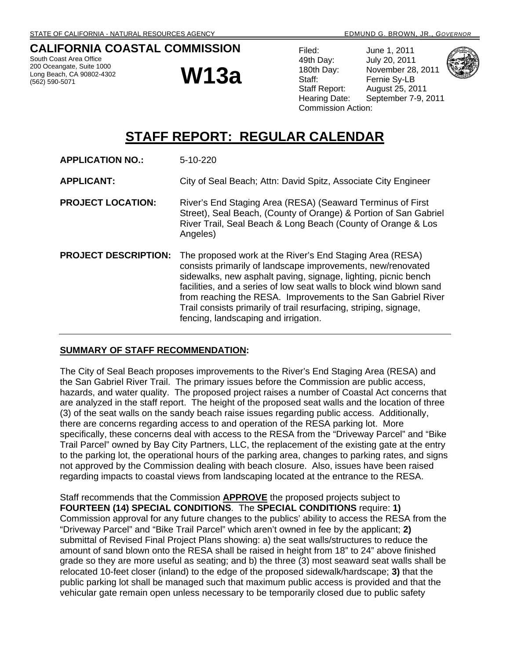#### **CALIFORNIA COASTAL COMMISSION**

South Coast Area Office 200 Oceangate, Suite 1000 Long Beach, CA 90802-4302 (562) 590-5071

# **W13a**

Filed: June 1, 2011 49th Day: July 20, 2011 180th Day: November 28, 2011 Staff: Fernie Sy-LB Staff Report: August 25, 2011 Hearing Date: September 7-9, 2011 Commission Action:



# **STAFF REPORT: REGULAR CALENDAR**

| <b>APPLICATION NO.:</b>     | 5-10-220                                                                                                                                                                                                                                                                                                                                                                                                                                       |
|-----------------------------|------------------------------------------------------------------------------------------------------------------------------------------------------------------------------------------------------------------------------------------------------------------------------------------------------------------------------------------------------------------------------------------------------------------------------------------------|
| <b>APPLICANT:</b>           | City of Seal Beach; Attn: David Spitz, Associate City Engineer                                                                                                                                                                                                                                                                                                                                                                                 |
| <b>PROJECT LOCATION:</b>    | River's End Staging Area (RESA) (Seaward Terminus of First<br>Street), Seal Beach, (County of Orange) & Portion of San Gabriel<br>River Trail, Seal Beach & Long Beach (County of Orange & Los<br>Angeles)                                                                                                                                                                                                                                     |
| <b>PROJECT DESCRIPTION:</b> | The proposed work at the River's End Staging Area (RESA)<br>consists primarily of landscape improvements, new/renovated<br>sidewalks, new asphalt paving, signage, lighting, picnic bench<br>facilities, and a series of low seat walls to block wind blown sand<br>from reaching the RESA. Improvements to the San Gabriel River<br>Trail consists primarily of trail resurfacing, striping, signage,<br>fencing, landscaping and irrigation. |

#### **SUMMARY OF STAFF RECOMMENDATION:**

The City of Seal Beach proposes improvements to the River's End Staging Area (RESA) and the San Gabriel River Trail. The primary issues before the Commission are public access, hazards, and water quality. The proposed project raises a number of Coastal Act concerns that are analyzed in the staff report. The height of the proposed seat walls and the location of three (3) of the seat walls on the sandy beach raise issues regarding public access. Additionally, there are concerns regarding access to and operation of the RESA parking lot. More specifically, these concerns deal with access to the RESA from the "Driveway Parcel" and "Bike Trail Parcel" owned by Bay City Partners, LLC, the replacement of the existing gate at the entry to the parking lot, the operational hours of the parking area, changes to parking rates, and signs not approved by the Commission dealing with beach closure. Also, issues have been raised regarding impacts to coastal views from landscaping located at the entrance to the RESA.

Staff recommends that the Commission **APPROVE** the proposed projects subject to **FOURTEEN (14) SPECIAL CONDITIONS**. The **SPECIAL CONDITIONS** require: **1)** Commission approval for any future changes to the publics' ability to access the RESA from the "Driveway Parcel" and "Bike Trail Parcel" which aren't owned in fee by the applicant; **2)** submittal of Revised Final Project Plans showing: a) the seat walls/structures to reduce the amount of sand blown onto the RESA shall be raised in height from 18" to 24" above finished grade so they are more useful as seating; and b) the three (3) most seaward seat walls shall be relocated 10-feet closer (inland) to the edge of the proposed sidewalk/hardscape; **3)** that the public parking lot shall be managed such that maximum public access is provided and that the vehicular gate remain open unless necessary to be temporarily closed due to public safety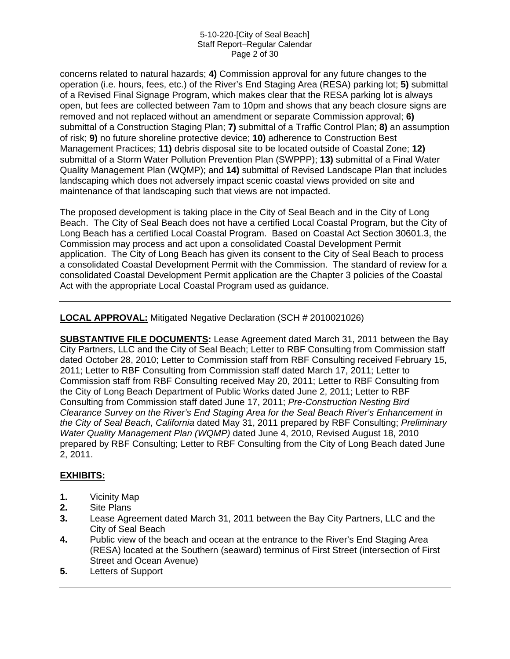#### 5-10-220-[City of Seal Beach] Staff Report–Regular Calendar Page 2 of 30

concerns related to natural hazards; **4)** Commission approval for any future changes to the operation (i.e. hours, fees, etc.) of the River's End Staging Area (RESA) parking lot; **5)** submittal of a Revised Final Signage Program, which makes clear that the RESA parking lot is always open, but fees are collected between 7am to 10pm and shows that any beach closure signs are removed and not replaced without an amendment or separate Commission approval; **6)** submittal of a Construction Staging Plan; **7)** submittal of a Traffic Control Plan; **8)** an assumption of risk; **9)** no future shoreline protective device; **10)** adherence to Construction Best Management Practices; **11)** debris disposal site to be located outside of Coastal Zone; **12)** submittal of a Storm Water Pollution Prevention Plan (SWPPP); **13)** submittal of a Final Water Quality Management Plan (WQMP); and **14)** submittal of Revised Landscape Plan that includes landscaping which does not adversely impact scenic coastal views provided on site and maintenance of that landscaping such that views are not impacted.

The proposed development is taking place in the City of Seal Beach and in the City of Long Beach. The City of Seal Beach does not have a certified Local Coastal Program, but the City of Long Beach has a certified Local Coastal Program. Based on Coastal Act Section 30601.3, the Commission may process and act upon a consolidated Coastal Development Permit application. The City of Long Beach has given its consent to the City of Seal Beach to process a consolidated Coastal Development Permit with the Commission. The standard of review for a consolidated Coastal Development Permit application are the Chapter 3 policies of the Coastal Act with the appropriate Local Coastal Program used as guidance.

#### **LOCAL APPROVAL:** Mitigated Negative Declaration (SCH # 2010021026)

**SUBSTANTIVE FILE DOCUMENTS:** Lease Agreement dated March 31, 2011 between the Bay City Partners, LLC and the City of Seal Beach; Letter to RBF Consulting from Commission staff dated October 28, 2010; Letter to Commission staff from RBF Consulting received February 15, 2011; Letter to RBF Consulting from Commission staff dated March 17, 2011; Letter to Commission staff from RBF Consulting received May 20, 2011; Letter to RBF Consulting from the City of Long Beach Department of Public Works dated June 2, 2011; Letter to RBF Consulting from Commission staff dated June 17, 2011; *Pre-Construction Nesting Bird Clearance Survey on the River's End Staging Area for the Seal Beach River's Enhancement in the City of Seal Beach, California* dated May 31, 2011 prepared by RBF Consulting; *Preliminary Water Quality Management Plan (WQMP)* dated June 4, 2010, Revised August 18, 2010 prepared by RBF Consulting; Letter to RBF Consulting from the City of Long Beach dated June 2, 2011.

#### **EXHIBITS:**

- **1.** Vicinity Map
- **2.** Site Plans
- **3.** Lease Agreement dated March 31, 2011 between the Bay City Partners, LLC and the City of Seal Beach
- **4.** Public view of the beach and ocean at the entrance to the River's End Staging Area (RESA) located at the Southern (seaward) terminus of First Street (intersection of First Street and Ocean Avenue)
- **5.** Letters of Support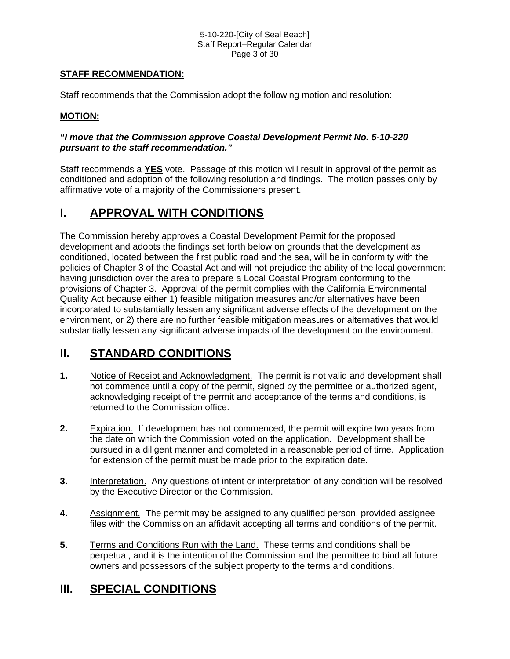#### 5-10-220-[City of Seal Beach] Staff Report–Regular Calendar Page 3 of 30

#### **STAFF RECOMMENDATION:**

Staff recommends that the Commission adopt the following motion and resolution:

#### **MOTION:**

#### *"I move that the Commission approve Coastal Development Permit No. 5-10-220 pursuant to the staff recommendation."*

Staff recommends a **YES** vote. Passage of this motion will result in approval of the permit as conditioned and adoption of the following resolution and findings. The motion passes only by affirmative vote of a majority of the Commissioners present.

## **I. APPROVAL WITH CONDITIONS**

The Commission hereby approves a Coastal Development Permit for the proposed development and adopts the findings set forth below on grounds that the development as conditioned, located between the first public road and the sea, will be in conformity with the policies of Chapter 3 of the Coastal Act and will not prejudice the ability of the local government having jurisdiction over the area to prepare a Local Coastal Program conforming to the provisions of Chapter 3. Approval of the permit complies with the California Environmental Quality Act because either 1) feasible mitigation measures and/or alternatives have been incorporated to substantially lessen any significant adverse effects of the development on the environment, or 2) there are no further feasible mitigation measures or alternatives that would substantially lessen any significant adverse impacts of the development on the environment.

# **II. STANDARD CONDITIONS**

- **1.** Notice of Receipt and Acknowledgment. The permit is not valid and development shall not commence until a copy of the permit, signed by the permittee or authorized agent, acknowledging receipt of the permit and acceptance of the terms and conditions, is returned to the Commission office.
- **2.** Expiration. If development has not commenced, the permit will expire two years from the date on which the Commission voted on the application. Development shall be pursued in a diligent manner and completed in a reasonable period of time. Application for extension of the permit must be made prior to the expiration date.
- **3.** Interpretation. Any questions of intent or interpretation of any condition will be resolved by the Executive Director or the Commission.
- **4.** Assignment. The permit may be assigned to any qualified person, provided assignee files with the Commission an affidavit accepting all terms and conditions of the permit.
- **5.** Terms and Conditions Run with the Land. These terms and conditions shall be perpetual, and it is the intention of the Commission and the permittee to bind all future owners and possessors of the subject property to the terms and conditions.

# **III. SPECIAL CONDITIONS**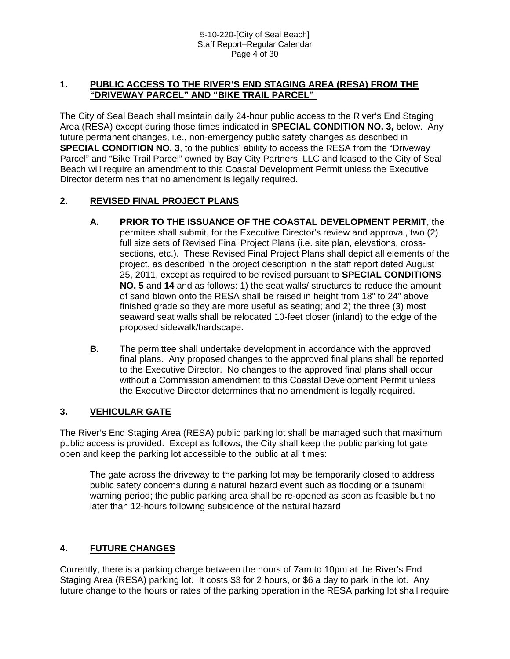#### **1. PUBLIC ACCESS TO THE RIVER'S END STAGING AREA (RESA) FROM THE "DRIVEWAY PARCEL" AND "BIKE TRAIL PARCEL"**

The City of Seal Beach shall maintain daily 24-hour public access to the River's End Staging Area (RESA) except during those times indicated in **SPECIAL CONDITION NO. 3,** below. Any future permanent changes, i.e., non-emergency public safety changes as described in **SPECIAL CONDITION NO. 3**, to the publics' ability to access the RESA from the "Driveway" Parcel" and "Bike Trail Parcel" owned by Bay City Partners, LLC and leased to the City of Seal Beach will require an amendment to this Coastal Development Permit unless the Executive Director determines that no amendment is legally required.

#### **2. REVISED FINAL PROJECT PLANS**

- **A. PRIOR TO THE ISSUANCE OF THE COASTAL DEVELOPMENT PERMIT**, the permitee shall submit, for the Executive Director's review and approval, two (2) full size sets of Revised Final Project Plans (i.e. site plan, elevations, crosssections, etc.). These Revised Final Project Plans shall depict all elements of the project, as described in the project description in the staff report dated August 25, 2011, except as required to be revised pursuant to **SPECIAL CONDITIONS NO. 5** and **14** and as follows: 1) the seat walls/ structures to reduce the amount of sand blown onto the RESA shall be raised in height from 18" to 24" above finished grade so they are more useful as seating; and 2) the three (3) most seaward seat walls shall be relocated 10-feet closer (inland) to the edge of the proposed sidewalk/hardscape.
- **B.** The permittee shall undertake development in accordance with the approved final plans. Any proposed changes to the approved final plans shall be reported to the Executive Director. No changes to the approved final plans shall occur without a Commission amendment to this Coastal Development Permit unless the Executive Director determines that no amendment is legally required.

#### **3. VEHICULAR GATE**

The River's End Staging Area (RESA) public parking lot shall be managed such that maximum public access is provided. Except as follows, the City shall keep the public parking lot gate open and keep the parking lot accessible to the public at all times:

The gate across the driveway to the parking lot may be temporarily closed to address public safety concerns during a natural hazard event such as flooding or a tsunami warning period; the public parking area shall be re-opened as soon as feasible but no later than 12-hours following subsidence of the natural hazard

#### **4. FUTURE CHANGES**

Currently, there is a parking charge between the hours of 7am to 10pm at the River's End Staging Area (RESA) parking lot. It costs \$3 for 2 hours, or \$6 a day to park in the lot. Any future change to the hours or rates of the parking operation in the RESA parking lot shall require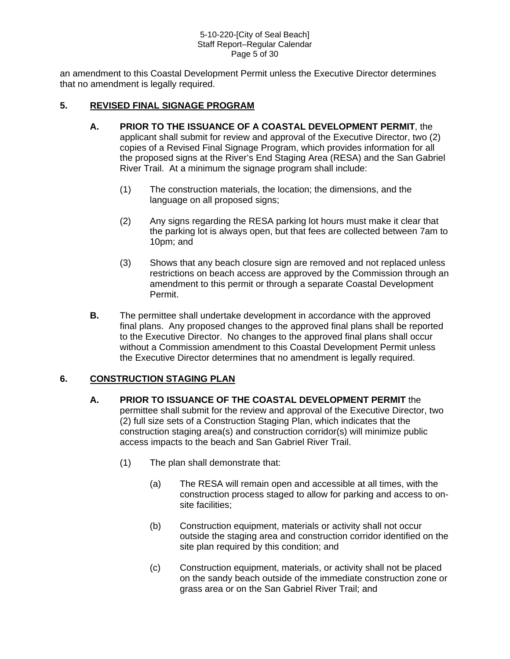#### 5-10-220-[City of Seal Beach] Staff Report–Regular Calendar Page 5 of 30

an amendment to this Coastal Development Permit unless the Executive Director determines that no amendment is legally required.

#### **5. REVISED FINAL SIGNAGE PROGRAM**

- **A. PRIOR TO THE ISSUANCE OF A COASTAL DEVELOPMENT PERMIT**, the applicant shall submit for review and approval of the Executive Director, two (2) copies of a Revised Final Signage Program, which provides information for all the proposed signs at the River's End Staging Area (RESA) and the San Gabriel River Trail. At a minimum the signage program shall include:
	- (1) The construction materials, the location; the dimensions, and the language on all proposed signs;
	- (2) Any signs regarding the RESA parking lot hours must make it clear that the parking lot is always open, but that fees are collected between 7am to 10pm; and
	- (3) Shows that any beach closure sign are removed and not replaced unless restrictions on beach access are approved by the Commission through an amendment to this permit or through a separate Coastal Development Permit.
- **B.** The permittee shall undertake development in accordance with the approved final plans. Any proposed changes to the approved final plans shall be reported to the Executive Director. No changes to the approved final plans shall occur without a Commission amendment to this Coastal Development Permit unless the Executive Director determines that no amendment is legally required.

#### **6. CONSTRUCTION STAGING PLAN**

- **A. PRIOR TO ISSUANCE OF THE COASTAL DEVELOPMENT PERMIT** the permittee shall submit for the review and approval of the Executive Director, two (2) full size sets of a Construction Staging Plan, which indicates that the construction staging area(s) and construction corridor(s) will minimize public access impacts to the beach and San Gabriel River Trail.
	- (1) The plan shall demonstrate that:
		- (a) The RESA will remain open and accessible at all times, with the construction process staged to allow for parking and access to onsite facilities;
		- (b) Construction equipment, materials or activity shall not occur outside the staging area and construction corridor identified on the site plan required by this condition; and
		- (c) Construction equipment, materials, or activity shall not be placed on the sandy beach outside of the immediate construction zone or grass area or on the San Gabriel River Trail; and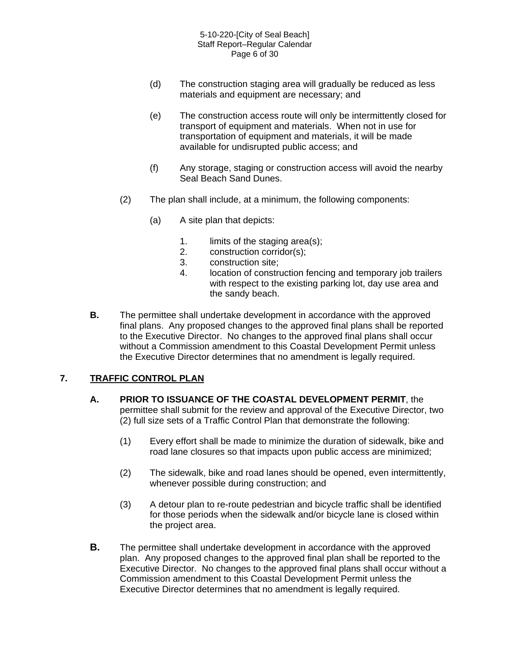- (d) The construction staging area will gradually be reduced as less materials and equipment are necessary; and
- (e) The construction access route will only be intermittently closed for transport of equipment and materials. When not in use for transportation of equipment and materials, it will be made available for undisrupted public access; and
- (f) Any storage, staging or construction access will avoid the nearby Seal Beach Sand Dunes.
- (2) The plan shall include, at a minimum, the following components:
	- (a) A site plan that depicts:
		- 1. limits of the staging area(s);
		- 2. construction corridor(s);
		- 3. construction site;
		- 4. location of construction fencing and temporary job trailers with respect to the existing parking lot, day use area and the sandy beach.
- **B.** The permittee shall undertake development in accordance with the approved final plans. Any proposed changes to the approved final plans shall be reported to the Executive Director. No changes to the approved final plans shall occur without a Commission amendment to this Coastal Development Permit unless the Executive Director determines that no amendment is legally required.

#### **7. TRAFFIC CONTROL PLAN**

- **A. PRIOR TO ISSUANCE OF THE COASTAL DEVELOPMENT PERMIT**, the permittee shall submit for the review and approval of the Executive Director, two (2) full size sets of a Traffic Control Plan that demonstrate the following:
	- (1) Every effort shall be made to minimize the duration of sidewalk, bike and road lane closures so that impacts upon public access are minimized;
	- (2) The sidewalk, bike and road lanes should be opened, even intermittently, whenever possible during construction; and
	- (3) A detour plan to re-route pedestrian and bicycle traffic shall be identified for those periods when the sidewalk and/or bicycle lane is closed within the project area.
- **B.** The permittee shall undertake development in accordance with the approved plan. Any proposed changes to the approved final plan shall be reported to the Executive Director. No changes to the approved final plans shall occur without a Commission amendment to this Coastal Development Permit unless the Executive Director determines that no amendment is legally required.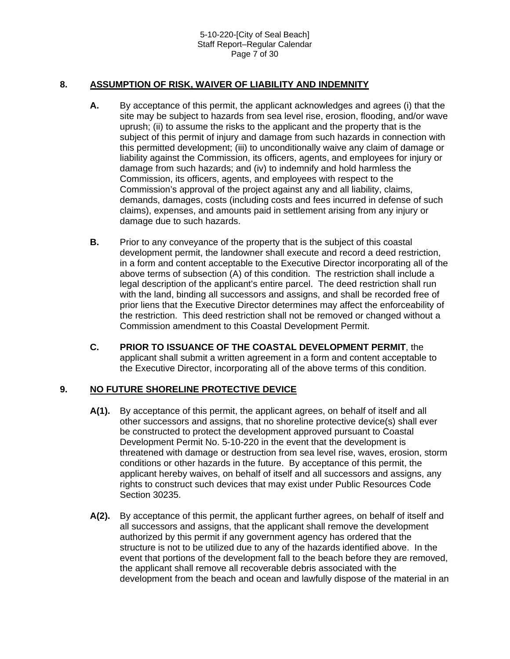#### **8. ASSUMPTION OF RISK, WAIVER OF LIABILITY AND INDEMNITY**

- **A.** By acceptance of this permit, the applicant acknowledges and agrees (i) that the site may be subject to hazards from sea level rise, erosion, flooding, and/or wave uprush; (ii) to assume the risks to the applicant and the property that is the subject of this permit of injury and damage from such hazards in connection with this permitted development; (iii) to unconditionally waive any claim of damage or liability against the Commission, its officers, agents, and employees for injury or damage from such hazards; and (iv) to indemnify and hold harmless the Commission, its officers, agents, and employees with respect to the Commission's approval of the project against any and all liability, claims, demands, damages, costs (including costs and fees incurred in defense of such claims), expenses, and amounts paid in settlement arising from any injury or damage due to such hazards.
- **B.** Prior to any conveyance of the property that is the subject of this coastal development permit, the landowner shall execute and record a deed restriction, in a form and content acceptable to the Executive Director incorporating all of the above terms of subsection (A) of this condition. The restriction shall include a legal description of the applicant's entire parcel. The deed restriction shall run with the land, binding all successors and assigns, and shall be recorded free of prior liens that the Executive Director determines may affect the enforceability of the restriction. This deed restriction shall not be removed or changed without a Commission amendment to this Coastal Development Permit.
- **C. PRIOR TO ISSUANCE OF THE COASTAL DEVELOPMENT PERMIT**, the applicant shall submit a written agreement in a form and content acceptable to the Executive Director, incorporating all of the above terms of this condition.

#### **9. NO FUTURE SHORELINE PROTECTIVE DEVICE**

- **A(1).** By acceptance of this permit, the applicant agrees, on behalf of itself and all other successors and assigns, that no shoreline protective device(s) shall ever be constructed to protect the development approved pursuant to Coastal Development Permit No. 5-10-220 in the event that the development is threatened with damage or destruction from sea level rise, waves, erosion, storm conditions or other hazards in the future. By acceptance of this permit, the applicant hereby waives, on behalf of itself and all successors and assigns, any rights to construct such devices that may exist under Public Resources Code Section 30235.
- **A(2).** By acceptance of this permit, the applicant further agrees, on behalf of itself and all successors and assigns, that the applicant shall remove the development authorized by this permit if any government agency has ordered that the structure is not to be utilized due to any of the hazards identified above. In the event that portions of the development fall to the beach before they are removed, the applicant shall remove all recoverable debris associated with the development from the beach and ocean and lawfully dispose of the material in an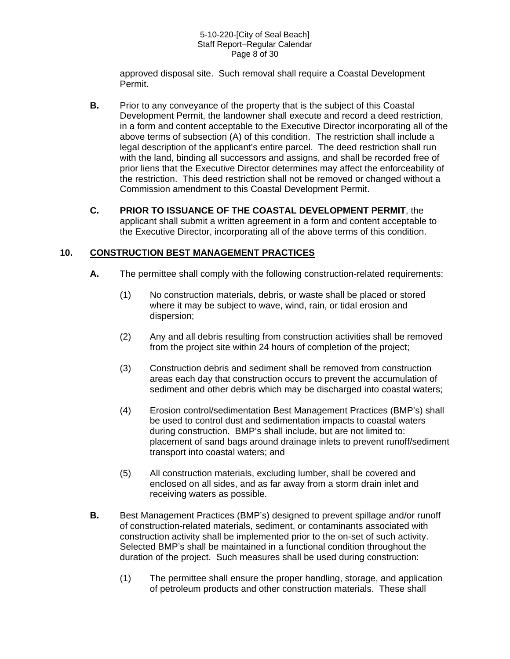#### 5-10-220-[City of Seal Beach] Staff Report–Regular Calendar Page 8 of 30

approved disposal site. Such removal shall require a Coastal Development Permit.

- **B.** Prior to any conveyance of the property that is the subject of this Coastal Development Permit, the landowner shall execute and record a deed restriction, in a form and content acceptable to the Executive Director incorporating all of the above terms of subsection (A) of this condition. The restriction shall include a legal description of the applicant's entire parcel. The deed restriction shall run with the land, binding all successors and assigns, and shall be recorded free of prior liens that the Executive Director determines may affect the enforceability of the restriction. This deed restriction shall not be removed or changed without a Commission amendment to this Coastal Development Permit.
- **C. PRIOR TO ISSUANCE OF THE COASTAL DEVELOPMENT PERMIT**, the applicant shall submit a written agreement in a form and content acceptable to the Executive Director, incorporating all of the above terms of this condition.

#### **10. CONSTRUCTION BEST MANAGEMENT PRACTICES**

- **A.** The permittee shall comply with the following construction-related requirements:
	- (1) No construction materials, debris, or waste shall be placed or stored where it may be subject to wave, wind, rain, or tidal erosion and dispersion;
	- (2) Any and all debris resulting from construction activities shall be removed from the project site within 24 hours of completion of the project;
	- (3) Construction debris and sediment shall be removed from construction areas each day that construction occurs to prevent the accumulation of sediment and other debris which may be discharged into coastal waters;
	- (4) Erosion control/sedimentation Best Management Practices (BMP's) shall be used to control dust and sedimentation impacts to coastal waters during construction. BMP's shall include, but are not limited to: placement of sand bags around drainage inlets to prevent runoff/sediment transport into coastal waters; and
	- (5) All construction materials, excluding lumber, shall be covered and enclosed on all sides, and as far away from a storm drain inlet and receiving waters as possible.
- **B.** Best Management Practices (BMP's) designed to prevent spillage and/or runoff of construction-related materials, sediment, or contaminants associated with construction activity shall be implemented prior to the on-set of such activity. Selected BMP's shall be maintained in a functional condition throughout the duration of the project. Such measures shall be used during construction:
	- (1) The permittee shall ensure the proper handling, storage, and application of petroleum products and other construction materials. These shall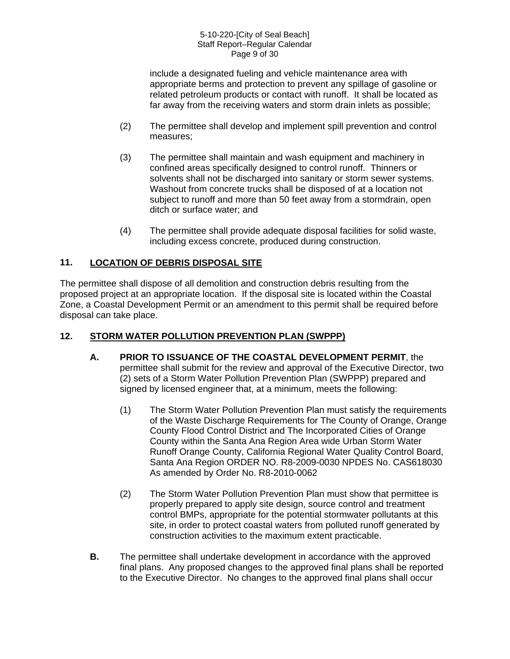#### 5-10-220-[City of Seal Beach] Staff Report–Regular Calendar Page 9 of 30

include a designated fueling and vehicle maintenance area with appropriate berms and protection to prevent any spillage of gasoline or related petroleum products or contact with runoff. It shall be located as far away from the receiving waters and storm drain inlets as possible;

- (2) The permittee shall develop and implement spill prevention and control measures;
- (3) The permittee shall maintain and wash equipment and machinery in confined areas specifically designed to control runoff. Thinners or solvents shall not be discharged into sanitary or storm sewer systems. Washout from concrete trucks shall be disposed of at a location not subject to runoff and more than 50 feet away from a stormdrain, open ditch or surface water; and
- (4) The permittee shall provide adequate disposal facilities for solid waste, including excess concrete, produced during construction.

#### **11. LOCATION OF DEBRIS DISPOSAL SITE**

The permittee shall dispose of all demolition and construction debris resulting from the proposed project at an appropriate location. If the disposal site is located within the Coastal Zone, a Coastal Development Permit or an amendment to this permit shall be required before disposal can take place.

#### **12. STORM WATER POLLUTION PREVENTION PLAN (SWPPP)**

- **A. PRIOR TO ISSUANCE OF THE COASTAL DEVELOPMENT PERMIT**, the permittee shall submit for the review and approval of the Executive Director, two (2) sets of a Storm Water Pollution Prevention Plan (SWPPP) prepared and signed by licensed engineer that, at a minimum, meets the following:
	- (1) The Storm Water Pollution Prevention Plan must satisfy the requirements of the Waste Discharge Requirements for The County of Orange, Orange County Flood Control District and The Incorporated Cities of Orange County within the Santa Ana Region Area wide Urban Storm Water Runoff Orange County, California Regional Water Quality Control Board, Santa Ana Region ORDER NO. R8-2009-0030 NPDES No. CAS618030 As amended by Order No. R8-2010-0062
	- (2) The Storm Water Pollution Prevention Plan must show that permittee is properly prepared to apply site design, source control and treatment control BMPs, appropriate for the potential stormwater pollutants at this site, in order to protect coastal waters from polluted runoff generated by construction activities to the maximum extent practicable.
- **B.** The permittee shall undertake development in accordance with the approved final plans. Any proposed changes to the approved final plans shall be reported to the Executive Director. No changes to the approved final plans shall occur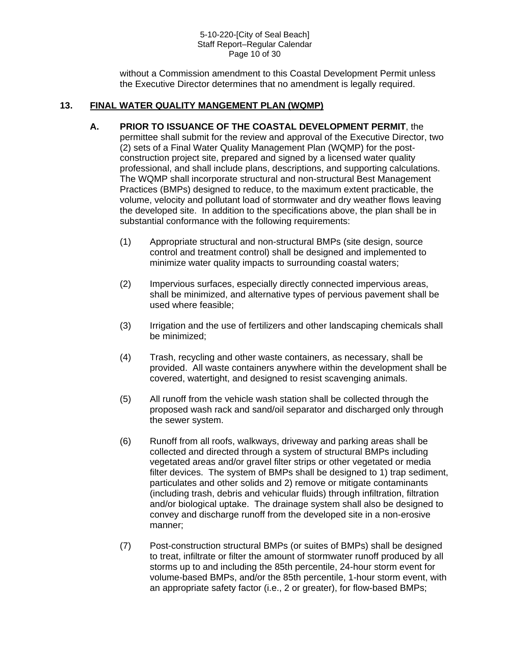#### 5-10-220-[City of Seal Beach] Staff Report–Regular Calendar Page 10 of 30

without a Commission amendment to this Coastal Development Permit unless the Executive Director determines that no amendment is legally required.

#### **13. FINAL WATER QUALITY MANGEMENT PLAN (WQMP)**

- **A. PRIOR TO ISSUANCE OF THE COASTAL DEVELOPMENT PERMIT**, the permittee shall submit for the review and approval of the Executive Director, two (2) sets of a Final Water Quality Management Plan (WQMP) for the postconstruction project site, prepared and signed by a licensed water quality professional, and shall include plans, descriptions, and supporting calculations. The WQMP shall incorporate structural and non-structural Best Management Practices (BMPs) designed to reduce, to the maximum extent practicable, the volume, velocity and pollutant load of stormwater and dry weather flows leaving the developed site. In addition to the specifications above, the plan shall be in substantial conformance with the following requirements:
	- (1) Appropriate structural and non-structural BMPs (site design, source control and treatment control) shall be designed and implemented to minimize water quality impacts to surrounding coastal waters;
	- (2) Impervious surfaces, especially directly connected impervious areas, shall be minimized, and alternative types of pervious pavement shall be used where feasible;
	- (3) Irrigation and the use of fertilizers and other landscaping chemicals shall be minimized;
	- (4) Trash, recycling and other waste containers, as necessary, shall be provided. All waste containers anywhere within the development shall be covered, watertight, and designed to resist scavenging animals.
	- (5) All runoff from the vehicle wash station shall be collected through the proposed wash rack and sand/oil separator and discharged only through the sewer system.
	- (6) Runoff from all roofs, walkways, driveway and parking areas shall be collected and directed through a system of structural BMPs including vegetated areas and/or gravel filter strips or other vegetated or media filter devices. The system of BMPs shall be designed to 1) trap sediment, particulates and other solids and 2) remove or mitigate contaminants (including trash, debris and vehicular fluids) through infiltration, filtration and/or biological uptake. The drainage system shall also be designed to convey and discharge runoff from the developed site in a non-erosive manner;
	- (7) Post-construction structural BMPs (or suites of BMPs) shall be designed to treat, infiltrate or filter the amount of stormwater runoff produced by all storms up to and including the 85th percentile, 24-hour storm event for volume-based BMPs, and/or the 85th percentile, 1-hour storm event, with an appropriate safety factor (i.e., 2 or greater), for flow-based BMPs;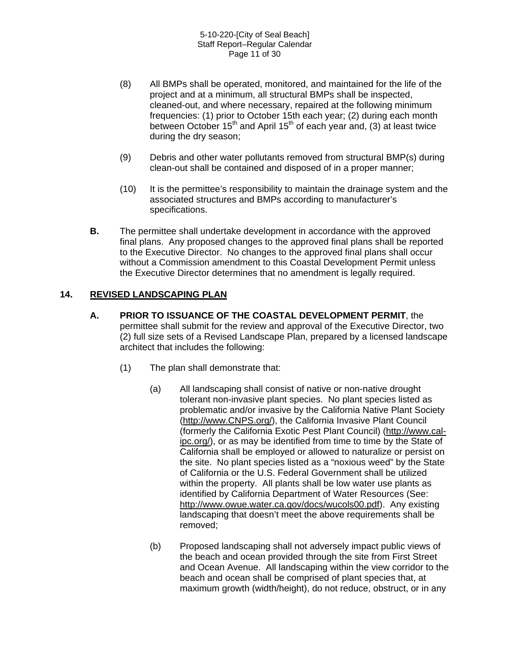- (8) All BMPs shall be operated, monitored, and maintained for the life of the project and at a minimum, all structural BMPs shall be inspected, cleaned-out, and where necessary, repaired at the following minimum frequencies: (1) prior to October 15th each year; (2) during each month between October  $15<sup>th</sup>$  and April  $15<sup>th</sup>$  of each year and, (3) at least twice during the dry season;
- (9) Debris and other water pollutants removed from structural BMP(s) during clean-out shall be contained and disposed of in a proper manner;
- (10) It is the permittee's responsibility to maintain the drainage system and the associated structures and BMPs according to manufacturer's specifications.
- **B.** The permittee shall undertake development in accordance with the approved final plans. Any proposed changes to the approved final plans shall be reported to the Executive Director. No changes to the approved final plans shall occur without a Commission amendment to this Coastal Development Permit unless the Executive Director determines that no amendment is legally required.

#### **14. REVISED LANDSCAPING PLAN**

- **A. PRIOR TO ISSUANCE OF THE COASTAL DEVELOPMENT PERMIT**, the permittee shall submit for the review and approval of the Executive Director, two (2) full size sets of a Revised Landscape Plan, prepared by a licensed landscape architect that includes the following:
	- (1) The plan shall demonstrate that:
		- (a) All landscaping shall consist of native or non-native drought tolerant non-invasive plant species. No plant species listed as problematic and/or invasive by the California Native Plant Society ([http://www.CNPS.org/\)](http://www.cnps.org/), the California Invasive Plant Council (formerly the California Exotic Pest Plant Council) ([http://www.cal](http://www.cal-ipc.org/)[ipc.org/](http://www.cal-ipc.org/)), or as may be identified from time to time by the State of California shall be employed or allowed to naturalize or persist on the site. No plant species listed as a "noxious weed" by the State of California or the U.S. Federal Government shall be utilized within the property. All plants shall be low water use plants as identified by California Department of Water Resources (See: [http://www.owue.water.ca.gov/docs/wucols00.pdf\)](http://www.owue.water.ca.gov/docs/wucols00.pdf). Any existing landscaping that doesn't meet the above requirements shall be removed;
		- (b) Proposed landscaping shall not adversely impact public views of the beach and ocean provided through the site from First Street and Ocean Avenue. All landscaping within the view corridor to the beach and ocean shall be comprised of plant species that, at maximum growth (width/height), do not reduce, obstruct, or in any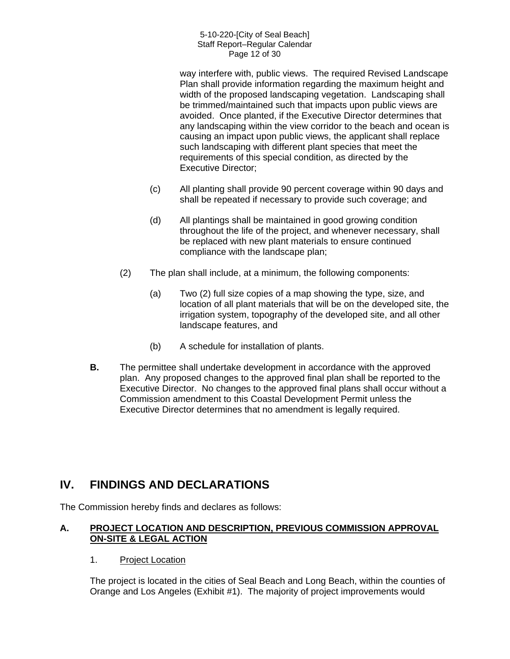#### 5-10-220-[City of Seal Beach] Staff Report–Regular Calendar Page 12 of 30

way interfere with, public views. The required Revised Landscape Plan shall provide information regarding the maximum height and width of the proposed landscaping vegetation. Landscaping shall be trimmed/maintained such that impacts upon public views are avoided. Once planted, if the Executive Director determines that any landscaping within the view corridor to the beach and ocean is causing an impact upon public views, the applicant shall replace such landscaping with different plant species that meet the requirements of this special condition, as directed by the Executive Director;

- (c) All planting shall provide 90 percent coverage within 90 days and shall be repeated if necessary to provide such coverage; and
- (d) All plantings shall be maintained in good growing condition throughout the life of the project, and whenever necessary, shall be replaced with new plant materials to ensure continued compliance with the landscape plan;
- (2) The plan shall include, at a minimum, the following components:
	- (a) Two (2) full size copies of a map showing the type, size, and location of all plant materials that will be on the developed site, the irrigation system, topography of the developed site, and all other landscape features, and
	- (b) A schedule for installation of plants.
- **B.** The permittee shall undertake development in accordance with the approved plan. Any proposed changes to the approved final plan shall be reported to the Executive Director. No changes to the approved final plans shall occur without a Commission amendment to this Coastal Development Permit unless the Executive Director determines that no amendment is legally required.

# **IV. FINDINGS AND DECLARATIONS**

The Commission hereby finds and declares as follows:

#### **A. PROJECT LOCATION AND DESCRIPTION, PREVIOUS COMMISSION APPROVAL ON-SITE & LEGAL ACTION**

1. Project Location

The project is located in the cities of Seal Beach and Long Beach, within the counties of Orange and Los Angeles (Exhibit #1). The majority of project improvements would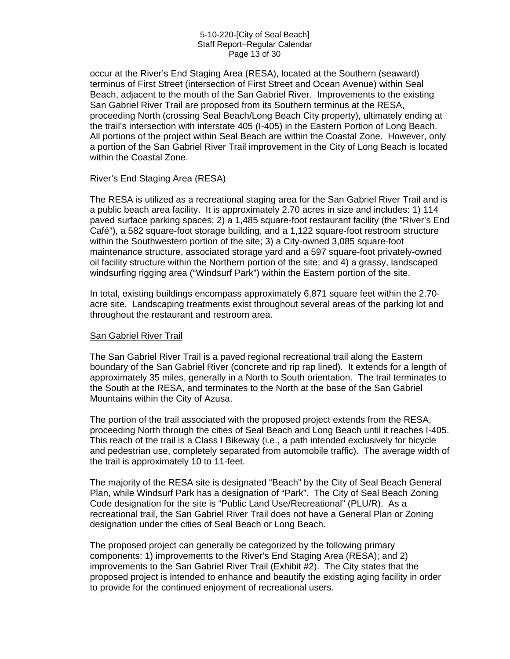#### 5-10-220-[City of Seal Beach] Staff Report–Regular Calendar Page 13 of 30

occur at the River's End Staging Area (RESA), located at the Southern (seaward) terminus of First Street (intersection of First Street and Ocean Avenue) within Seal Beach, adjacent to the mouth of the San Gabriel River. Improvements to the existing San Gabriel River Trail are proposed from its Southern terminus at the RESA, proceeding North (crossing Seal Beach/Long Beach City property), ultimately ending at the trail's intersection with interstate 405 (I-405) in the Eastern Portion of Long Beach. All portions of the project within Seal Beach are within the Coastal Zone. However, only a portion of the San Gabriel River Trail improvement in the City of Long Beach is located within the Coastal Zone.

#### River's End Staging Area (RESA)

The RESA is utilized as a recreational staging area for the San Gabriel River Trail and is a public beach area facility. It is approximately 2.70 acres in size and includes: 1) 114 paved surface parking spaces; 2) a 1,485 square-foot restaurant facility (the "River's End Café"), a 582 square-foot storage building, and a 1,122 square-foot restroom structure within the Southwestern portion of the site; 3) a City-owned 3,085 square-foot maintenance structure, associated storage yard and a 597 square-foot privately-owned oil facility structure within the Northern portion of the site; and 4) a grassy, landscaped windsurfing rigging area ("Windsurf Park") within the Eastern portion of the site.

In total, existing buildings encompass approximately 6,871 square feet within the 2.70 acre site. Landscaping treatments exist throughout several areas of the parking lot and throughout the restaurant and restroom area.

#### San Gabriel River Trail

The San Gabriel River Trail is a paved regional recreational trail along the Eastern boundary of the San Gabriel River (concrete and rip rap lined). It extends for a length of approximately 35 miles, generally in a North to South orientation. The trail terminates to the South at the RESA, and terminates to the North at the base of the San Gabriel Mountains within the City of Azusa.

The portion of the trail associated with the proposed project extends from the RESA, proceeding North through the cities of Seal Beach and Long Beach until it reaches I-405. This reach of the trail is a Class I Bikeway (i.e., a path intended exclusively for bicycle and pedestrian use, completely separated from automobile traffic). The average width of the trail is approximately 10 to 11-feet.

The majority of the RESA site is designated "Beach" by the City of Seal Beach General Plan, while Windsurf Park has a designation of "Park". The City of Seal Beach Zoning Code designation for the site is "Public Land Use/Recreational" (PLU/R). As a recreational trail, the San Gabriel River Trail does not have a General Plan or Zoning designation under the cities of Seal Beach or Long Beach.

The proposed project can generally be categorized by the following primary components: 1) improvements to the River's End Staging Area (RESA); and 2) improvements to the San Gabriel River Trail (Exhibit  $#2$ ). The City states that the proposed project is intended to enhance and beautify the existing aging facility in order to provide for the continued enjoyment of recreational users.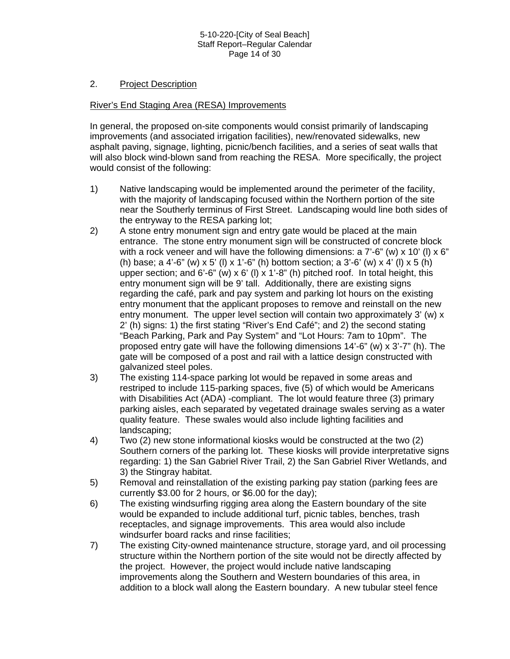#### 5-10-220-[City of Seal Beach] Staff Report–Regular Calendar Page 14 of 30

#### 2. Project Description

#### River's End Staging Area (RESA) Improvements

In general, the proposed on-site components would consist primarily of landscaping improvements (and associated irrigation facilities), new/renovated sidewalks, new asphalt paving, signage, lighting, picnic/bench facilities, and a series of seat walls that will also block wind-blown sand from reaching the RESA. More specifically, the project would consist of the following:

- 1) Native landscaping would be implemented around the perimeter of the facility, with the majority of landscaping focused within the Northern portion of the site near the Southerly terminus of First Street. Landscaping would line both sides of the entryway to the RESA parking lot;
- 2) A stone entry monument sign and entry gate would be placed at the main entrance. The stone entry monument sign will be constructed of concrete block with a rock veneer and will have the following dimensions: a  $7'-6''$  (w)  $\times$  10' (l)  $\times$  6" (h) base; a 4'-6" (w) x 5' (l) x 1'-6" (h) bottom section; a 3'-6' (w) x 4' (l) x 5 (h) upper section; and 6'-6" (w)  $\times$  6' (l)  $\times$  1'-8" (h) pitched roof. In total height, this entry monument sign will be 9' tall. Additionally, there are existing signs regarding the café, park and pay system and parking lot hours on the existing entry monument that the applicant proposes to remove and reinstall on the new entry monument. The upper level section will contain two approximately 3' (w) x 2' (h) signs: 1) the first stating "River's End Café"; and 2) the second stating "Beach Parking, Park and Pay System" and "Lot Hours: 7am to 10pm". The proposed entry gate will have the following dimensions 14'-6" (w) x 3'-7" (h). The gate will be composed of a post and rail with a lattice design constructed with galvanized steel poles.
- 3) The existing 114-space parking lot would be repaved in some areas and restriped to include 115-parking spaces, five (5) of which would be Americans with Disabilities Act (ADA) -compliant. The lot would feature three (3) primary parking aisles, each separated by vegetated drainage swales serving as a water quality feature. These swales would also include lighting facilities and landscaping;
- 4) Two (2) new stone informational kiosks would be constructed at the two (2) Southern corners of the parking lot. These kiosks will provide interpretative signs regarding: 1) the San Gabriel River Trail, 2) the San Gabriel River Wetlands, and 3) the Stingray habitat.
- 5) Removal and reinstallation of the existing parking pay station (parking fees are currently \$3.00 for 2 hours, or \$6.00 for the day);
- 6) The existing windsurfing rigging area along the Eastern boundary of the site would be expanded to include additional turf, picnic tables, benches, trash receptacles, and signage improvements. This area would also include windsurfer board racks and rinse facilities;
- 7) The existing City-owned maintenance structure, storage yard, and oil processing structure within the Northern portion of the site would not be directly affected by the project. However, the project would include native landscaping improvements along the Southern and Western boundaries of this area, in addition to a block wall along the Eastern boundary. A new tubular steel fence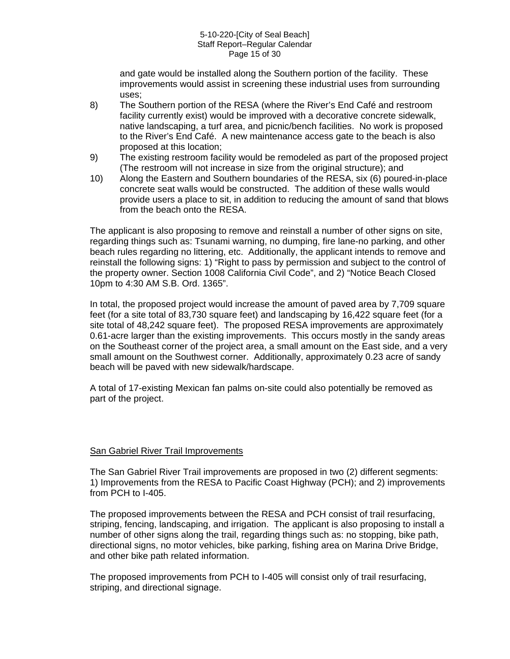#### 5-10-220-[City of Seal Beach] Staff Report–Regular Calendar Page 15 of 30

and gate would be installed along the Southern portion of the facility. These improvements would assist in screening these industrial uses from surrounding uses;

- 8) The Southern portion of the RESA (where the River's End Café and restroom facility currently exist) would be improved with a decorative concrete sidewalk, native landscaping, a turf area, and picnic/bench facilities. No work is proposed to the River's End Café. A new maintenance access gate to the beach is also proposed at this location;
- 9) The existing restroom facility would be remodeled as part of the proposed project (The restroom will not increase in size from the original structure); and
- 10) Along the Eastern and Southern boundaries of the RESA, six (6) poured-in-place concrete seat walls would be constructed. The addition of these walls would provide users a place to sit, in addition to reducing the amount of sand that blows from the beach onto the RESA.

The applicant is also proposing to remove and reinstall a number of other signs on site, regarding things such as: Tsunami warning, no dumping, fire lane-no parking, and other beach rules regarding no littering, etc. Additionally, the applicant intends to remove and reinstall the following signs: 1) "Right to pass by permission and subject to the control of the property owner. Section 1008 California Civil Code", and 2) "Notice Beach Closed 10pm to 4:30 AM S.B. Ord. 1365".

In total, the proposed project would increase the amount of paved area by 7,709 square feet (for a site total of 83,730 square feet) and landscaping by 16,422 square feet (for a site total of 48,242 square feet). The proposed RESA improvements are approximately 0.61-acre larger than the existing improvements. This occurs mostly in the sandy areas on the Southeast corner of the project area, a small amount on the East side, and a very small amount on the Southwest corner. Additionally, approximately 0.23 acre of sandy beach will be paved with new sidewalk/hardscape.

A total of 17-existing Mexican fan palms on-site could also potentially be removed as part of the project.

#### San Gabriel River Trail Improvements

The San Gabriel River Trail improvements are proposed in two (2) different segments: 1) Improvements from the RESA to Pacific Coast Highway (PCH); and 2) improvements from PCH to I-405.

The proposed improvements between the RESA and PCH consist of trail resurfacing, striping, fencing, landscaping, and irrigation. The applicant is also proposing to install a number of other signs along the trail, regarding things such as: no stopping, bike path, directional signs, no motor vehicles, bike parking, fishing area on Marina Drive Bridge, and other bike path related information.

The proposed improvements from PCH to I-405 will consist only of trail resurfacing, striping, and directional signage.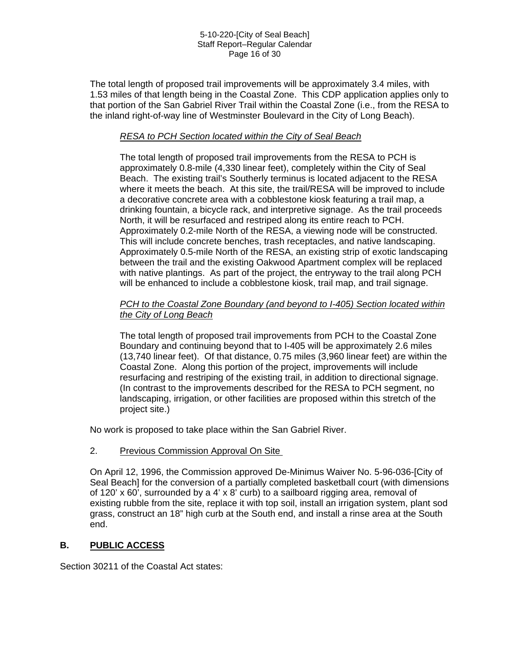#### 5-10-220-[City of Seal Beach] Staff Report–Regular Calendar Page 16 of 30

The total length of proposed trail improvements will be approximately 3.4 miles, with 1.53 miles of that length being in the Coastal Zone. This CDP application applies only to that portion of the San Gabriel River Trail within the Coastal Zone (i.e., from the RESA to the inland right-of-way line of Westminster Boulevard in the City of Long Beach).

#### *RESA to PCH Section located within the City of Seal Beach*

The total length of proposed trail improvements from the RESA to PCH is approximately 0.8-mile (4,330 linear feet), completely within the City of Seal Beach. The existing trail's Southerly terminus is located adjacent to the RESA where it meets the beach. At this site, the trail/RESA will be improved to include a decorative concrete area with a cobblestone kiosk featuring a trail map, a drinking fountain, a bicycle rack, and interpretive signage. As the trail proceeds North, it will be resurfaced and restriped along its entire reach to PCH. Approximately 0.2-mile North of the RESA, a viewing node will be constructed. This will include concrete benches, trash receptacles, and native landscaping. Approximately 0.5-mile North of the RESA, an existing strip of exotic landscaping between the trail and the existing Oakwood Apartment complex will be replaced with native plantings. As part of the project, the entryway to the trail along PCH will be enhanced to include a cobblestone kiosk, trail map, and trail signage.

#### *PCH to the Coastal Zone Boundary (and beyond to I-405) Section located within the City of Long Beach*

The total length of proposed trail improvements from PCH to the Coastal Zone Boundary and continuing beyond that to I-405 will be approximately 2.6 miles (13,740 linear feet). Of that distance, 0.75 miles (3,960 linear feet) are within the Coastal Zone. Along this portion of the project, improvements will include resurfacing and restriping of the existing trail, in addition to directional signage. (In contrast to the improvements described for the RESA to PCH segment, no landscaping, irrigation, or other facilities are proposed within this stretch of the project site.)

No work is proposed to take place within the San Gabriel River.

#### 2. Previous Commission Approval On Site

On April 12, 1996, the Commission approved De-Minimus Waiver No. 5-96-036-[City of Seal Beach] for the conversion of a partially completed basketball court (with dimensions of 120' x 60', surrounded by a 4' x 8' curb) to a sailboard rigging area, removal of existing rubble from the site, replace it with top soil, install an irrigation system, plant sod grass, construct an 18" high curb at the South end, and install a rinse area at the South end.

#### **B. PUBLIC ACCESS**

Section 30211 of the Coastal Act states: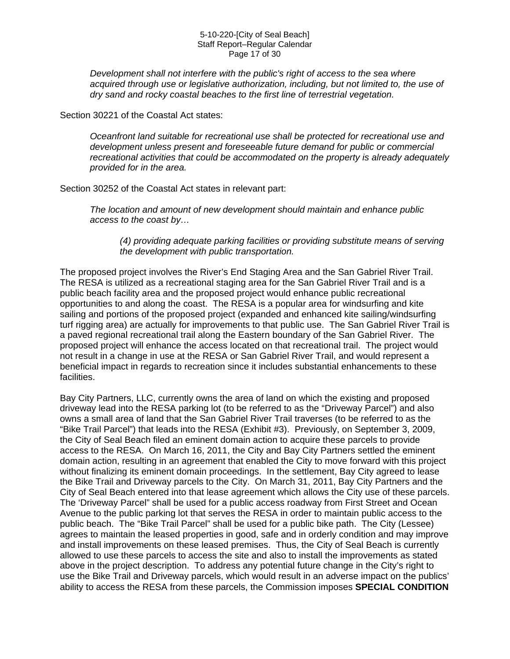#### 5-10-220-[City of Seal Beach] Staff Report–Regular Calendar Page 17 of 30

*Development shall not interfere with the public's right of access to the sea where acquired through use or legislative authorization, including, but not limited to, the use of dry sand and rocky coastal beaches to the first line of terrestrial vegetation.* 

Section 30221 of the Coastal Act states:

*Oceanfront land suitable for recreational use shall be protected for recreational use and development unless present and foreseeable future demand for public or commercial recreational activities that could be accommodated on the property is already adequately provided for in the area.* 

Section 30252 of the Coastal Act states in relevant part:

*The location and amount of new development should maintain and enhance public access to the coast by…* 

*(4) providing adequate parking facilities or providing substitute means of serving the development with public transportation.* 

The proposed project involves the River's End Staging Area and the San Gabriel River Trail. The RESA is utilized as a recreational staging area for the San Gabriel River Trail and is a public beach facility area and the proposed project would enhance public recreational opportunities to and along the coast. The RESA is a popular area for windsurfing and kite sailing and portions of the proposed project (expanded and enhanced kite sailing/windsurfing turf rigging area) are actually for improvements to that public use. The San Gabriel River Trail is a paved regional recreational trail along the Eastern boundary of the San Gabriel River. The proposed project will enhance the access located on that recreational trail. The project would not result in a change in use at the RESA or San Gabriel River Trail, and would represent a beneficial impact in regards to recreation since it includes substantial enhancements to these facilities.

Bay City Partners, LLC, currently owns the area of land on which the existing and proposed driveway lead into the RESA parking lot (to be referred to as the "Driveway Parcel") and also owns a small area of land that the San Gabriel River Trail traverses (to be referred to as the "Bike Trail Parcel") that leads into the RESA (Exhibit #3). Previously, on September 3, 2009, the City of Seal Beach filed an eminent domain action to acquire these parcels to provide access to the RESA. On March 16, 2011, the City and Bay City Partners settled the eminent domain action, resulting in an agreement that enabled the City to move forward with this project without finalizing its eminent domain proceedings. In the settlement, Bay City agreed to lease the Bike Trail and Driveway parcels to the City. On March 31, 2011, Bay City Partners and the City of Seal Beach entered into that lease agreement which allows the City use of these parcels. The 'Driveway Parcel" shall be used for a public access roadway from First Street and Ocean Avenue to the public parking lot that serves the RESA in order to maintain public access to the public beach. The "Bike Trail Parcel" shall be used for a public bike path. The City (Lessee) agrees to maintain the leased properties in good, safe and in orderly condition and may improve and install improvements on these leased premises. Thus, the City of Seal Beach is currently allowed to use these parcels to access the site and also to install the improvements as stated above in the project description. To address any potential future change in the City's right to use the Bike Trail and Driveway parcels, which would result in an adverse impact on the publics' ability to access the RESA from these parcels, the Commission imposes **SPECIAL CONDITION**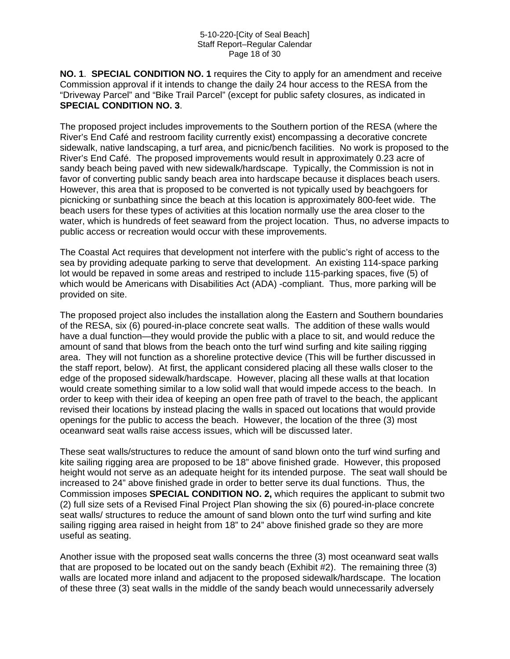**NO. 1**. **SPECIAL CONDITION NO. 1** requires the City to apply for an amendment and receive Commission approval if it intends to change the daily 24 hour access to the RESA from the "Driveway Parcel" and "Bike Trail Parcel" (except for public safety closures, as indicated in **SPECIAL CONDITION NO. 3**.

The proposed project includes improvements to the Southern portion of the RESA (where the River's End Café and restroom facility currently exist) encompassing a decorative concrete sidewalk, native landscaping, a turf area, and picnic/bench facilities. No work is proposed to the River's End Café. The proposed improvements would result in approximately 0.23 acre of sandy beach being paved with new sidewalk/hardscape. Typically, the Commission is not in favor of converting public sandy beach area into hardscape because it displaces beach users. However, this area that is proposed to be converted is not typically used by beachgoers for picnicking or sunbathing since the beach at this location is approximately 800-feet wide. The beach users for these types of activities at this location normally use the area closer to the water, which is hundreds of feet seaward from the project location. Thus, no adverse impacts to public access or recreation would occur with these improvements.

The Coastal Act requires that development not interfere with the public's right of access to the sea by providing adequate parking to serve that development. An existing 114-space parking lot would be repaved in some areas and restriped to include 115-parking spaces, five (5) of which would be Americans with Disabilities Act (ADA) -compliant. Thus, more parking will be provided on site.

The proposed project also includes the installation along the Eastern and Southern boundaries of the RESA, six (6) poured-in-place concrete seat walls. The addition of these walls would have a dual function—they would provide the public with a place to sit, and would reduce the amount of sand that blows from the beach onto the turf wind surfing and kite sailing rigging area. They will not function as a shoreline protective device (This will be further discussed in the staff report, below). At first, the applicant considered placing all these walls closer to the edge of the proposed sidewalk/hardscape. However, placing all these walls at that location would create something similar to a low solid wall that would impede access to the beach. In order to keep with their idea of keeping an open free path of travel to the beach, the applicant revised their locations by instead placing the walls in spaced out locations that would provide openings for the public to access the beach. However, the location of the three (3) most oceanward seat walls raise access issues, which will be discussed later.

These seat walls/structures to reduce the amount of sand blown onto the turf wind surfing and kite sailing rigging area are proposed to be 18" above finished grade. However, this proposed height would not serve as an adequate height for its intended purpose. The seat wall should be increased to 24" above finished grade in order to better serve its dual functions. Thus, the Commission imposes **SPECIAL CONDITION NO. 2,** which requires the applicant to submit two (2) full size sets of a Revised Final Project Plan showing the six (6) poured-in-place concrete seat walls/ structures to reduce the amount of sand blown onto the turf wind surfing and kite sailing rigging area raised in height from 18" to 24" above finished grade so they are more useful as seating.

Another issue with the proposed seat walls concerns the three (3) most oceanward seat walls that are proposed to be located out on the sandy beach (Exhibit #2). The remaining three (3) walls are located more inland and adjacent to the proposed sidewalk/hardscape. The location of these three (3) seat walls in the middle of the sandy beach would unnecessarily adversely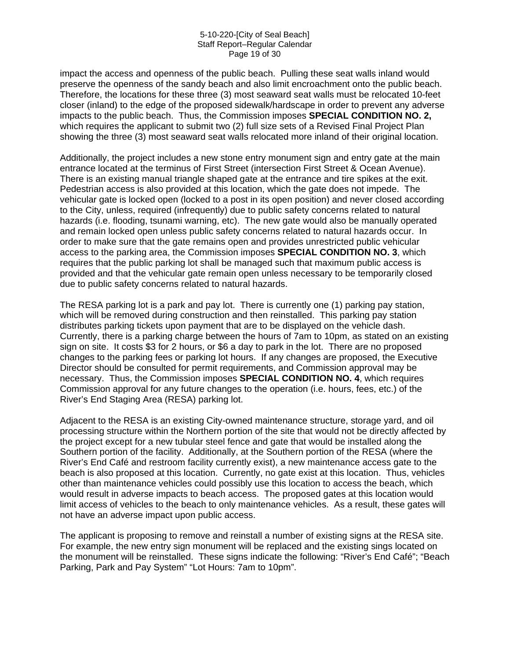#### 5-10-220-[City of Seal Beach] Staff Report–Regular Calendar Page 19 of 30

impact the access and openness of the public beach. Pulling these seat walls inland would preserve the openness of the sandy beach and also limit encroachment onto the public beach. Therefore, the locations for these three (3) most seaward seat walls must be relocated 10-feet closer (inland) to the edge of the proposed sidewalk/hardscape in order to prevent any adverse impacts to the public beach. Thus, the Commission imposes **SPECIAL CONDITION NO. 2,** which requires the applicant to submit two (2) full size sets of a Revised Final Project Plan showing the three (3) most seaward seat walls relocated more inland of their original location.

Additionally, the project includes a new stone entry monument sign and entry gate at the main entrance located at the terminus of First Street (intersection First Street & Ocean Avenue). There is an existing manual triangle shaped gate at the entrance and tire spikes at the exit. Pedestrian access is also provided at this location, which the gate does not impede. The vehicular gate is locked open (locked to a post in its open position) and never closed according to the City, unless, required (infrequently) due to public safety concerns related to natural hazards (i.e. flooding, tsunami warning, etc). The new gate would also be manually operated and remain locked open unless public safety concerns related to natural hazards occur. In order to make sure that the gate remains open and provides unrestricted public vehicular access to the parking area, the Commission imposes **SPECIAL CONDITION NO. 3**, which requires that the public parking lot shall be managed such that maximum public access is provided and that the vehicular gate remain open unless necessary to be temporarily closed due to public safety concerns related to natural hazards.

The RESA parking lot is a park and pay lot. There is currently one (1) parking pay station, which will be removed during construction and then reinstalled. This parking pay station distributes parking tickets upon payment that are to be displayed on the vehicle dash. Currently, there is a parking charge between the hours of 7am to 10pm, as stated on an existing sign on site. It costs \$3 for 2 hours, or \$6 a day to park in the lot. There are no proposed changes to the parking fees or parking lot hours. If any changes are proposed, the Executive Director should be consulted for permit requirements, and Commission approval may be necessary. Thus, the Commission imposes **SPECIAL CONDITION NO. 4**, which requires Commission approval for any future changes to the operation (i.e. hours, fees, etc.) of the River's End Staging Area (RESA) parking lot.

Adjacent to the RESA is an existing City-owned maintenance structure, storage yard, and oil processing structure within the Northern portion of the site that would not be directly affected by the project except for a new tubular steel fence and gate that would be installed along the Southern portion of the facility. Additionally, at the Southern portion of the RESA (where the River's End Café and restroom facility currently exist), a new maintenance access gate to the beach is also proposed at this location. Currently, no gate exist at this location. Thus, vehicles other than maintenance vehicles could possibly use this location to access the beach, which would result in adverse impacts to beach access. The proposed gates at this location would limit access of vehicles to the beach to only maintenance vehicles. As a result, these gates will not have an adverse impact upon public access.

The applicant is proposing to remove and reinstall a number of existing signs at the RESA site. For example, the new entry sign monument will be replaced and the existing sings located on the monument will be reinstalled. These signs indicate the following: "River's End Café"; "Beach Parking, Park and Pay System" "Lot Hours: 7am to 10pm".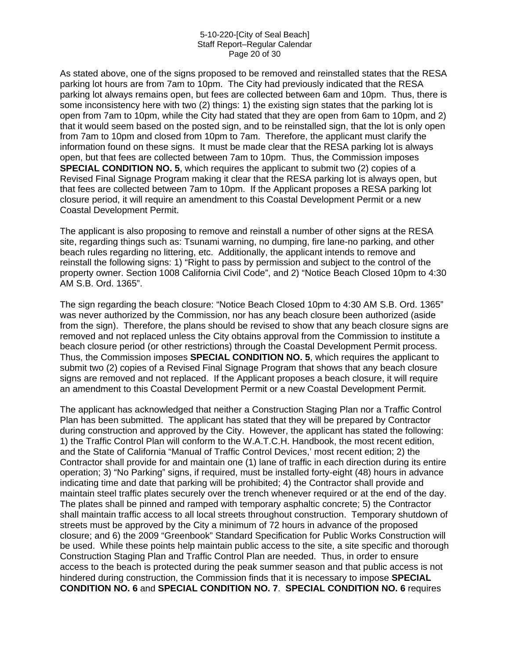#### 5-10-220-[City of Seal Beach] Staff Report–Regular Calendar Page 20 of 30

As stated above, one of the signs proposed to be removed and reinstalled states that the RESA parking lot hours are from 7am to 10pm. The City had previously indicated that the RESA parking lot always remains open, but fees are collected between 6am and 10pm. Thus, there is some inconsistency here with two (2) things: 1) the existing sign states that the parking lot is open from 7am to 10pm, while the City had stated that they are open from 6am to 10pm, and 2) that it would seem based on the posted sign, and to be reinstalled sign, that the lot is only open from 7am to 10pm and closed from 10pm to 7am. Therefore, the applicant must clarify the information found on these signs. It must be made clear that the RESA parking lot is always open, but that fees are collected between 7am to 10pm. Thus, the Commission imposes **SPECIAL CONDITION NO. 5**, which requires the applicant to submit two (2) copies of a Revised Final Signage Program making it clear that the RESA parking lot is always open, but that fees are collected between 7am to 10pm. If the Applicant proposes a RESA parking lot closure period, it will require an amendment to this Coastal Development Permit or a new Coastal Development Permit.

The applicant is also proposing to remove and reinstall a number of other signs at the RESA site, regarding things such as: Tsunami warning, no dumping, fire lane-no parking, and other beach rules regarding no littering, etc. Additionally, the applicant intends to remove and reinstall the following signs: 1) "Right to pass by permission and subject to the control of the property owner. Section 1008 California Civil Code", and 2) "Notice Beach Closed 10pm to 4:30 AM S.B. Ord. 1365".

The sign regarding the beach closure: "Notice Beach Closed 10pm to 4:30 AM S.B. Ord. 1365" was never authorized by the Commission, nor has any beach closure been authorized (aside from the sign). Therefore, the plans should be revised to show that any beach closure signs are removed and not replaced unless the City obtains approval from the Commission to institute a beach closure period (or other restrictions) through the Coastal Development Permit process. Thus, the Commission imposes **SPECIAL CONDITION NO. 5**, which requires the applicant to submit two (2) copies of a Revised Final Signage Program that shows that any beach closure signs are removed and not replaced. If the Applicant proposes a beach closure, it will require an amendment to this Coastal Development Permit or a new Coastal Development Permit.

The applicant has acknowledged that neither a Construction Staging Plan nor a Traffic Control Plan has been submitted. The applicant has stated that they will be prepared by Contractor during construction and approved by the City. However, the applicant has stated the following: 1) the Traffic Control Plan will conform to the W.A.T.C.H. Handbook, the most recent edition, and the State of California "Manual of Traffic Control Devices,' most recent edition; 2) the Contractor shall provide for and maintain one (1) lane of traffic in each direction during its entire operation; 3) "No Parking" signs, if required, must be installed forty-eight (48) hours in advance indicating time and date that parking will be prohibited; 4) the Contractor shall provide and maintain steel traffic plates securely over the trench whenever required or at the end of the day. The plates shall be pinned and ramped with temporary asphaltic concrete; 5) the Contractor shall maintain traffic access to all local streets throughout construction. Temporary shutdown of streets must be approved by the City a minimum of 72 hours in advance of the proposed closure; and 6) the 2009 "Greenbook" Standard Specification for Public Works Construction will be used. While these points help maintain public access to the site, a site specific and thorough Construction Staging Plan and Traffic Control Plan are needed. Thus, in order to ensure access to the beach is protected during the peak summer season and that public access is not hindered during construction, the Commission finds that it is necessary to impose **SPECIAL CONDITION NO. 6** and **SPECIAL CONDITION NO. 7**. **SPECIAL CONDITION NO. 6** requires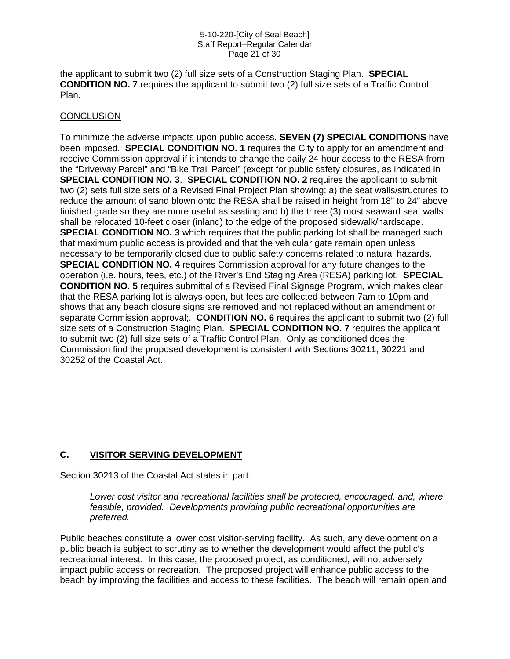#### 5-10-220-[City of Seal Beach] Staff Report–Regular Calendar Page 21 of 30

the applicant to submit two (2) full size sets of a Construction Staging Plan. **SPECIAL CONDITION NO. 7** requires the applicant to submit two (2) full size sets of a Traffic Control Plan.

#### **CONCLUSION**

To minimize the adverse impacts upon public access, **SEVEN (7) SPECIAL CONDITIONS** have been imposed. **SPECIAL CONDITION NO. 1** requires the City to apply for an amendment and receive Commission approval if it intends to change the daily 24 hour access to the RESA from the "Driveway Parcel" and "Bike Trail Parcel" (except for public safety closures, as indicated in **SPECIAL CONDITION NO. 3**. **SPECIAL CONDITION NO. 2** requires the applicant to submit two (2) sets full size sets of a Revised Final Project Plan showing: a) the seat walls/structures to reduce the amount of sand blown onto the RESA shall be raised in height from 18" to 24" above finished grade so they are more useful as seating and b) the three (3) most seaward seat walls shall be relocated 10-feet closer (inland) to the edge of the proposed sidewalk/hardscape. **SPECIAL CONDITION NO. 3** which requires that the public parking lot shall be managed such that maximum public access is provided and that the vehicular gate remain open unless necessary to be temporarily closed due to public safety concerns related to natural hazards. **SPECIAL CONDITION NO. 4** requires Commission approval for any future changes to the operation (i.e. hours, fees, etc.) of the River's End Staging Area (RESA) parking lot. **SPECIAL CONDITION NO. 5** requires submittal of a Revised Final Signage Program, which makes clear that the RESA parking lot is always open, but fees are collected between 7am to 10pm and shows that any beach closure signs are removed and not replaced without an amendment or separate Commission approval;. **CONDITION NO. 6** requires the applicant to submit two (2) full size sets of a Construction Staging Plan. **SPECIAL CONDITION NO. 7** requires the applicant to submit two (2) full size sets of a Traffic Control Plan. Only as conditioned does the Commission find the proposed development is consistent with Sections 30211, 30221 and 30252 of the Coastal Act.

#### **C. VISITOR SERVING DEVELOPMENT**

Section 30213 of the Coastal Act states in part:

*Lower cost visitor and recreational facilities shall be protected, encouraged, and, where feasible, provided. Developments providing public recreational opportunities are preferred.* 

Public beaches constitute a lower cost visitor-serving facility. As such, any development on a public beach is subject to scrutiny as to whether the development would affect the public's recreational interest. In this case, the proposed project, as conditioned, will not adversely impact public access or recreation. The proposed project will enhance public access to the beach by improving the facilities and access to these facilities. The beach will remain open and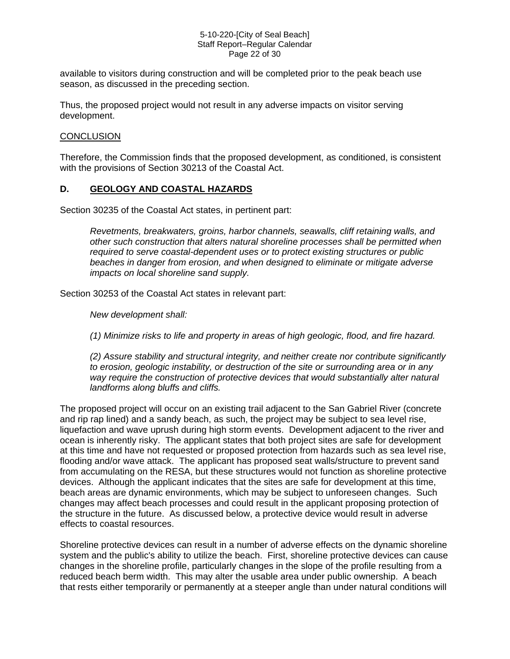#### 5-10-220-[City of Seal Beach] Staff Report–Regular Calendar Page 22 of 30

available to visitors during construction and will be completed prior to the peak beach use season, as discussed in the preceding section.

Thus, the proposed project would not result in any adverse impacts on visitor serving development.

#### **CONCLUSION**

Therefore, the Commission finds that the proposed development, as conditioned, is consistent with the provisions of Section 30213 of the Coastal Act.

#### **D. GEOLOGY AND COASTAL HAZARDS**

Section 30235 of the Coastal Act states, in pertinent part:

*Revetments, breakwaters, groins, harbor channels, seawalls, cliff retaining walls, and other such construction that alters natural shoreline processes shall be permitted when required to serve coastal-dependent uses or to protect existing structures or public beaches in danger from erosion, and when designed to eliminate or mitigate adverse impacts on local shoreline sand supply.* 

Section 30253 of the Coastal Act states in relevant part:

*New development shall:* 

*(1) Minimize risks to life and property in areas of high geologic, flood, and fire hazard.* 

*(2) Assure stability and structural integrity, and neither create nor contribute significantly to erosion, geologic instability, or destruction of the site or surrounding area or in any way require the construction of protective devices that would substantially alter natural landforms along bluffs and cliffs.* 

The proposed project will occur on an existing trail adjacent to the San Gabriel River (concrete and rip rap lined) and a sandy beach, as such, the project may be subject to sea level rise, liquefaction and wave uprush during high storm events. Development adjacent to the river and ocean is inherently risky. The applicant states that both project sites are safe for development at this time and have not requested or proposed protection from hazards such as sea level rise, flooding and/or wave attack. The applicant has proposed seat walls/structure to prevent sand from accumulating on the RESA, but these structures would not function as shoreline protective devices. Although the applicant indicates that the sites are safe for development at this time, beach areas are dynamic environments, which may be subject to unforeseen changes. Such changes may affect beach processes and could result in the applicant proposing protection of the structure in the future. As discussed below, a protective device would result in adverse effects to coastal resources.

Shoreline protective devices can result in a number of adverse effects on the dynamic shoreline system and the public's ability to utilize the beach. First, shoreline protective devices can cause changes in the shoreline profile, particularly changes in the slope of the profile resulting from a reduced beach berm width. This may alter the usable area under public ownership. A beach that rests either temporarily or permanently at a steeper angle than under natural conditions will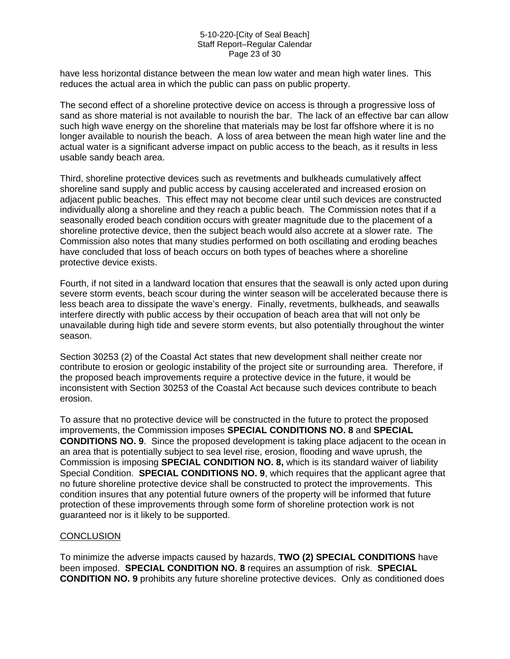#### 5-10-220-[City of Seal Beach] Staff Report–Regular Calendar Page 23 of 30

have less horizontal distance between the mean low water and mean high water lines. This reduces the actual area in which the public can pass on public property.

The second effect of a shoreline protective device on access is through a progressive loss of sand as shore material is not available to nourish the bar. The lack of an effective bar can allow such high wave energy on the shoreline that materials may be lost far offshore where it is no longer available to nourish the beach. A loss of area between the mean high water line and the actual water is a significant adverse impact on public access to the beach, as it results in less usable sandy beach area.

Third, shoreline protective devices such as revetments and bulkheads cumulatively affect shoreline sand supply and public access by causing accelerated and increased erosion on adjacent public beaches. This effect may not become clear until such devices are constructed individually along a shoreline and they reach a public beach. The Commission notes that if a seasonally eroded beach condition occurs with greater magnitude due to the placement of a shoreline protective device, then the subject beach would also accrete at a slower rate. The Commission also notes that many studies performed on both oscillating and eroding beaches have concluded that loss of beach occurs on both types of beaches where a shoreline protective device exists.

Fourth, if not sited in a landward location that ensures that the seawall is only acted upon during severe storm events, beach scour during the winter season will be accelerated because there is less beach area to dissipate the wave's energy. Finally, revetments, bulkheads, and seawalls interfere directly with public access by their occupation of beach area that will not only be unavailable during high tide and severe storm events, but also potentially throughout the winter season.

Section 30253 (2) of the Coastal Act states that new development shall neither create nor contribute to erosion or geologic instability of the project site or surrounding area. Therefore, if the proposed beach improvements require a protective device in the future, it would be inconsistent with Section 30253 of the Coastal Act because such devices contribute to beach erosion.

To assure that no protective device will be constructed in the future to protect the proposed improvements, the Commission imposes **SPECIAL CONDITIONS NO. 8** and **SPECIAL CONDITIONS NO. 9**. Since the proposed development is taking place adjacent to the ocean in an area that is potentially subject to sea level rise, erosion, flooding and wave uprush, the Commission is imposing **SPECIAL CONDITION NO. 8,** which is its standard waiver of liability Special Condition. **SPECIAL CONDITIONS NO. 9**, which requires that the applicant agree that no future shoreline protective device shall be constructed to protect the improvements. This condition insures that any potential future owners of the property will be informed that future protection of these improvements through some form of shoreline protection work is not guaranteed nor is it likely to be supported.

#### **CONCLUSION**

To minimize the adverse impacts caused by hazards, **TWO (2) SPECIAL CONDITIONS** have been imposed. **SPECIAL CONDITION NO. 8** requires an assumption of risk. **SPECIAL CONDITION NO. 9** prohibits any future shoreline protective devices. Only as conditioned does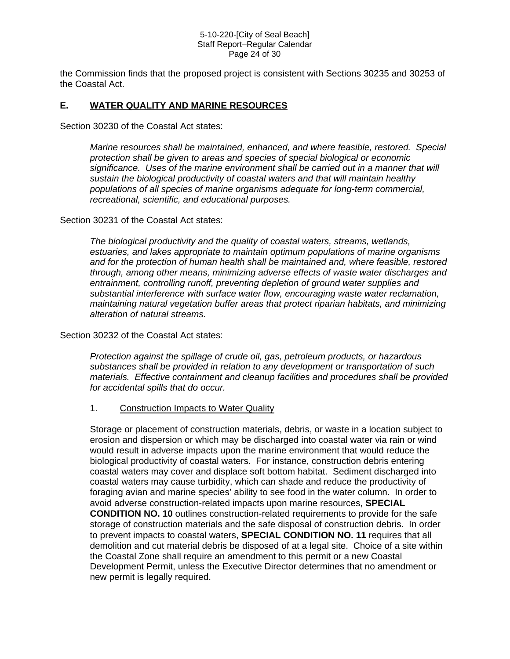#### 5-10-220-[City of Seal Beach] Staff Report–Regular Calendar Page 24 of 30

the Commission finds that the proposed project is consistent with Sections 30235 and 30253 of the Coastal Act.

#### **E. WATER QUALITY AND MARINE RESOURCES**

Section 30230 of the Coastal Act states:

*Marine resources shall be maintained, enhanced, and where feasible, restored. Special protection shall be given to areas and species of special biological or economic significance. Uses of the marine environment shall be carried out in a manner that will sustain the biological productivity of coastal waters and that will maintain healthy populations of all species of marine organisms adequate for long-term commercial, recreational, scientific, and educational purposes.* 

#### Section 30231 of the Coastal Act states:

*The biological productivity and the quality of coastal waters, streams, wetlands, estuaries, and lakes appropriate to maintain optimum populations of marine organisms and for the protection of human health shall be maintained and, where feasible, restored through, among other means, minimizing adverse effects of waste water discharges and entrainment, controlling runoff, preventing depletion of ground water supplies and substantial interference with surface water flow, encouraging waste water reclamation, maintaining natural vegetation buffer areas that protect riparian habitats, and minimizing alteration of natural streams.* 

Section 30232 of the Coastal Act states:

*Protection against the spillage of crude oil, gas, petroleum products, or hazardous substances shall be provided in relation to any development or transportation of such materials. Effective containment and cleanup facilities and procedures shall be provided for accidental spills that do occur.* 

#### 1. Construction Impacts to Water Quality

Storage or placement of construction materials, debris, or waste in a location subject to erosion and dispersion or which may be discharged into coastal water via rain or wind would result in adverse impacts upon the marine environment that would reduce the biological productivity of coastal waters. For instance, construction debris entering coastal waters may cover and displace soft bottom habitat. Sediment discharged into coastal waters may cause turbidity, which can shade and reduce the productivity of foraging avian and marine species' ability to see food in the water column. In order to avoid adverse construction-related impacts upon marine resources, **SPECIAL CONDITION NO. 10** outlines construction-related requirements to provide for the safe storage of construction materials and the safe disposal of construction debris. In order to prevent impacts to coastal waters, **SPECIAL CONDITION NO. 11** requires that all demolition and cut material debris be disposed of at a legal site. Choice of a site within the Coastal Zone shall require an amendment to this permit or a new Coastal Development Permit, unless the Executive Director determines that no amendment or new permit is legally required.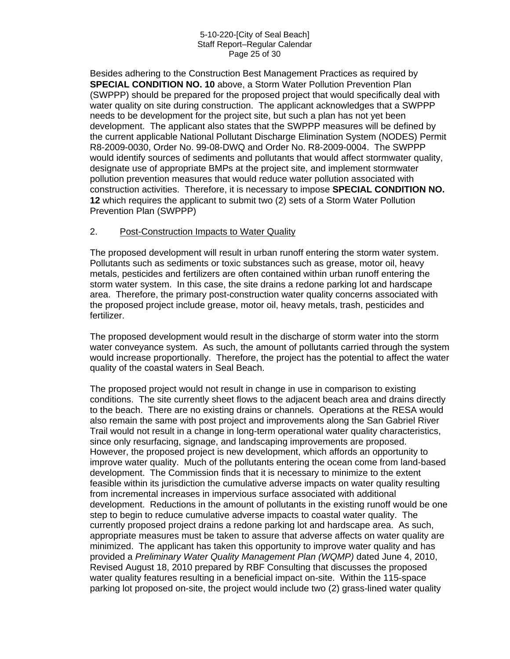#### 5-10-220-[City of Seal Beach] Staff Report–Regular Calendar Page 25 of 30

Besides adhering to the Construction Best Management Practices as required by **SPECIAL CONDITION NO. 10** above, a Storm Water Pollution Prevention Plan (SWPPP) should be prepared for the proposed project that would specifically deal with water quality on site during construction. The applicant acknowledges that a SWPPP needs to be development for the project site, but such a plan has not yet been development. The applicant also states that the SWPPP measures will be defined by the current applicable National Pollutant Discharge Elimination System (NODES) Permit R8-2009-0030, Order No. 99-08-DWQ and Order No. R8-2009-0004. The SWPPP would identify sources of sediments and pollutants that would affect stormwater quality, designate use of appropriate BMPs at the project site, and implement stormwater pollution prevention measures that would reduce water pollution associated with construction activities. Therefore, it is necessary to impose **SPECIAL CONDITION NO. 12** which requires the applicant to submit two (2) sets of a Storm Water Pollution Prevention Plan (SWPPP)

#### 2. Post-Construction Impacts to Water Quality

The proposed development will result in urban runoff entering the storm water system. Pollutants such as sediments or toxic substances such as grease, motor oil, heavy metals, pesticides and fertilizers are often contained within urban runoff entering the storm water system. In this case, the site drains a redone parking lot and hardscape area. Therefore, the primary post-construction water quality concerns associated with the proposed project include grease, motor oil, heavy metals, trash, pesticides and fertilizer.

The proposed development would result in the discharge of storm water into the storm water conveyance system. As such, the amount of pollutants carried through the system would increase proportionally. Therefore, the project has the potential to affect the water quality of the coastal waters in Seal Beach.

The proposed project would not result in change in use in comparison to existing conditions. The site currently sheet flows to the adjacent beach area and drains directly to the beach. There are no existing drains or channels. Operations at the RESA would also remain the same with post project and improvements along the San Gabriel River Trail would not result in a change in long-term operational water quality characteristics, since only resurfacing, signage, and landscaping improvements are proposed. However, the proposed project is new development, which affords an opportunity to improve water quality. Much of the pollutants entering the ocean come from land-based development. The Commission finds that it is necessary to minimize to the extent feasible within its jurisdiction the cumulative adverse impacts on water quality resulting from incremental increases in impervious surface associated with additional development. Reductions in the amount of pollutants in the existing runoff would be one step to begin to reduce cumulative adverse impacts to coastal water quality. The currently proposed project drains a redone parking lot and hardscape area. As such, appropriate measures must be taken to assure that adverse affects on water quality are minimized. The applicant has taken this opportunity to improve water quality and has provided a *Preliminary Water Quality Management Plan (WQMP)* dated June 4, 2010, Revised August 18, 2010 prepared by RBF Consulting that discusses the proposed water quality features resulting in a beneficial impact on-site. Within the 115-space parking lot proposed on-site, the project would include two (2) grass-lined water quality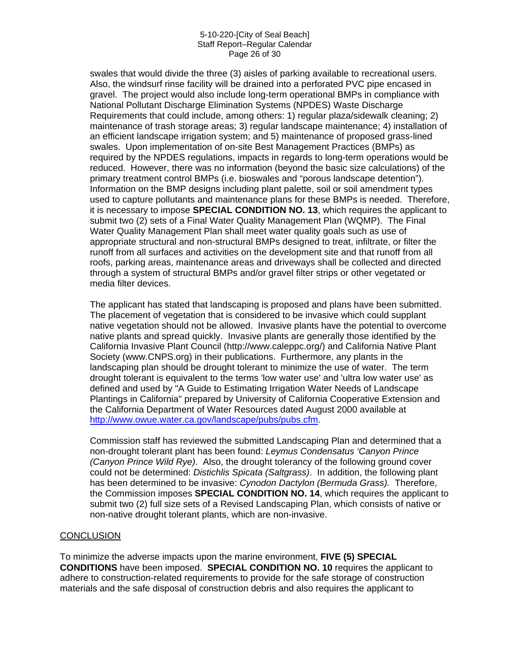#### 5-10-220-[City of Seal Beach] Staff Report–Regular Calendar Page 26 of 30

swales that would divide the three (3) aisles of parking available to recreational users. Also, the windsurf rinse facility will be drained into a perforated PVC pipe encased in gravel. The project would also include long-term operational BMPs in compliance with National Pollutant Discharge Elimination Systems (NPDES) Waste Discharge Requirements that could include, among others: 1) regular plaza/sidewalk cleaning; 2) maintenance of trash storage areas; 3) regular landscape maintenance; 4) installation of an efficient landscape irrigation system; and 5) maintenance of proposed grass-lined swales. Upon implementation of on-site Best Management Practices (BMPs) as required by the NPDES regulations, impacts in regards to long-term operations would be reduced. However, there was no information (beyond the basic size calculations) of the primary treatment control BMPs (i.e. bioswales and "porous landscape detention"). Information on the BMP designs including plant palette, soil or soil amendment types used to capture pollutants and maintenance plans for these BMPs is needed. Therefore, it is necessary to impose **SPECIAL CONDITION NO. 13**, which requires the applicant to submit two (2) sets of a Final Water Quality Management Plan (WQMP). The Final Water Quality Management Plan shall meet water quality goals such as use of appropriate structural and non-structural BMPs designed to treat, infiltrate, or filter the runoff from all surfaces and activities on the development site and that runoff from all roofs, parking areas, maintenance areas and driveways shall be collected and directed through a system of structural BMPs and/or gravel filter strips or other vegetated or media filter devices.

The applicant has stated that landscaping is proposed and plans have been submitted. The placement of vegetation that is considered to be invasive which could supplant native vegetation should not be allowed. Invasive plants have the potential to overcome native plants and spread quickly. Invasive plants are generally those identified by the California Invasive Plant Council (http://www.caleppc.org/) and California Native Plant Society (www.CNPS.org) in their publications. Furthermore, any plants in the landscaping plan should be drought tolerant to minimize the use of water. The term drought tolerant is equivalent to the terms 'low water use' and 'ultra low water use' as defined and used by "A Guide to Estimating Irrigation Water Needs of Landscape Plantings in California" prepared by University of California Cooperative Extension and the California Department of Water Resources dated August 2000 available at [http://www.owue.water.ca.gov/landscape/pubs/pubs.cfm.](http://www.owue.water.ca.gov/landscape/pubs/pubs.cfm)

Commission staff has reviewed the submitted Landscaping Plan and determined that a non-drought tolerant plant has been found: *Leymus Condensatus 'Canyon Prince (Canyon Prince Wild Rye)*. Also, the drought tolerancy of the following ground cover could not be determined: *Distichlis Spicata (Saltgrass)*. In addition, the following plant has been determined to be invasive: *Cynodon Dactylon (Bermuda Grass).* Therefore, the Commission imposes **SPECIAL CONDITION NO. 14**, which requires the applicant to submit two (2) full size sets of a Revised Landscaping Plan, which consists of native or non-native drought tolerant plants, which are non-invasive.

#### **CONCLUSION**

To minimize the adverse impacts upon the marine environment, **FIVE (5) SPECIAL CONDITIONS** have been imposed. **SPECIAL CONDITION NO. 10** requires the applicant to adhere to construction-related requirements to provide for the safe storage of construction materials and the safe disposal of construction debris and also requires the applicant to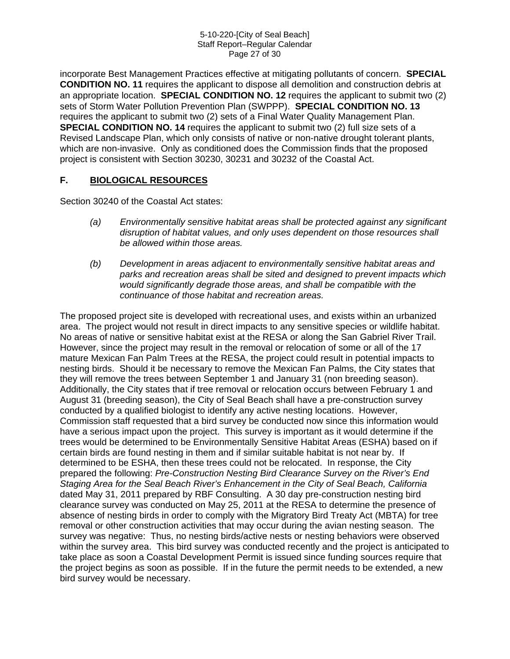#### 5-10-220-[City of Seal Beach] Staff Report–Regular Calendar Page 27 of 30

incorporate Best Management Practices effective at mitigating pollutants of concern. **SPECIAL CONDITION NO. 11** requires the applicant to dispose all demolition and construction debris at an appropriate location. **SPECIAL CONDITION NO. 12** requires the applicant to submit two (2) sets of Storm Water Pollution Prevention Plan (SWPPP). **SPECIAL CONDITION NO. 13** requires the applicant to submit two (2) sets of a Final Water Quality Management Plan. **SPECIAL CONDITION NO. 14** requires the applicant to submit two (2) full size sets of a Revised Landscape Plan, which only consists of native or non-native drought tolerant plants, which are non-invasive. Only as conditioned does the Commission finds that the proposed project is consistent with Section 30230, 30231 and 30232 of the Coastal Act.

#### **F. BIOLOGICAL RESOURCES**

Section 30240 of the Coastal Act states:

- *(a) Environmentally sensitive habitat areas shall be protected against any significant disruption of habitat values, and only uses dependent on those resources shall be allowed within those areas.*
- *(b) Development in areas adjacent to environmentally sensitive habitat areas and parks and recreation areas shall be sited and designed to prevent impacts which would significantly degrade those areas, and shall be compatible with the continuance of those habitat and recreation areas.*

The proposed project site is developed with recreational uses, and exists within an urbanized area. The project would not result in direct impacts to any sensitive species or wildlife habitat. No areas of native or sensitive habitat exist at the RESA or along the San Gabriel River Trail. However, since the project may result in the removal or relocation of some or all of the 17 mature Mexican Fan Palm Trees at the RESA, the project could result in potential impacts to nesting birds. Should it be necessary to remove the Mexican Fan Palms, the City states that they will remove the trees between September 1 and January 31 (non breeding season). Additionally, the City states that if tree removal or relocation occurs between February 1 and August 31 (breeding season), the City of Seal Beach shall have a pre-construction survey conducted by a qualified biologist to identify any active nesting locations. However, Commission staff requested that a bird survey be conducted now since this information would have a serious impact upon the project. This survey is important as it would determine if the trees would be determined to be Environmentally Sensitive Habitat Areas (ESHA) based on if certain birds are found nesting in them and if similar suitable habitat is not near by. If determined to be ESHA, then these trees could not be relocated. In response, the City prepared the following: *Pre-Construction Nesting Bird Clearance Survey on the River's End Staging Area for the Seal Beach River's Enhancement in the City of Seal Beach, California*  dated May 31, 2011 prepared by RBF Consulting. A 30 day pre-construction nesting bird clearance survey was conducted on May 25, 2011 at the RESA to determine the presence of absence of nesting birds in order to comply with the Migratory Bird Treaty Act (MBTA) for tree removal or other construction activities that may occur during the avian nesting season. The survey was negative: Thus, no nesting birds/active nests or nesting behaviors were observed within the survey area. This bird survey was conducted recently and the project is anticipated to take place as soon a Coastal Development Permit is issued since funding sources require that the project begins as soon as possible. If in the future the permit needs to be extended, a new bird survey would be necessary.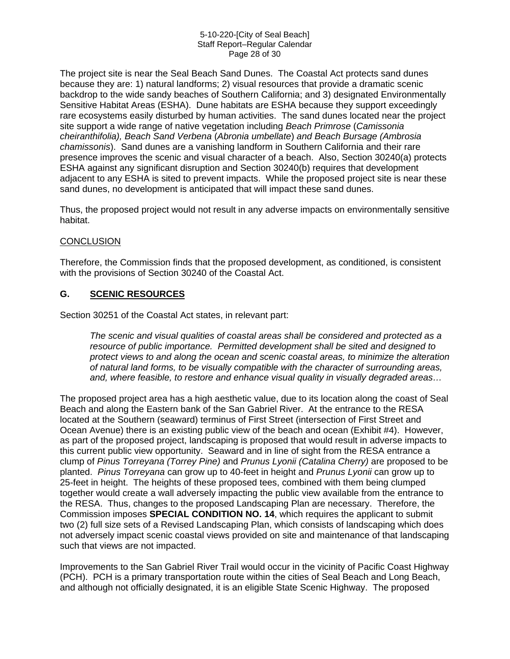#### 5-10-220-[City of Seal Beach] Staff Report–Regular Calendar Page 28 of 30

The project site is near the Seal Beach Sand Dunes. The Coastal Act protects sand dunes because they are: 1) natural landforms; 2) visual resources that provide a dramatic scenic backdrop to the wide sandy beaches of Southern California; and 3) designated Environmentally Sensitive Habitat Areas (ESHA). Dune habitats are ESHA because they support exceedingly rare ecosystems easily disturbed by human activities. The sand dunes located near the project site support a wide range of native vegetation including *Beach Primrose* (*Camissonia cheiranthifolia), Beach Sand Verbena* (*Abronia umbellate*) *and Beach Bursage (Ambrosia chamissonis*). Sand dunes are a vanishing landform in Southern California and their rare presence improves the scenic and visual character of a beach. Also, Section 30240(a) protects ESHA against any significant disruption and Section 30240(b) requires that development adjacent to any ESHA is sited to prevent impacts. While the proposed project site is near these sand dunes, no development is anticipated that will impact these sand dunes.

Thus, the proposed project would not result in any adverse impacts on environmentally sensitive habitat.

#### **CONCLUSION**

Therefore, the Commission finds that the proposed development, as conditioned, is consistent with the provisions of Section 30240 of the Coastal Act.

#### **G. SCENIC RESOURCES**

Section 30251 of the Coastal Act states, in relevant part:

*The scenic and visual qualities of coastal areas shall be considered and protected as a resource of public importance. Permitted development shall be sited and designed to protect views to and along the ocean and scenic coastal areas, to minimize the alteration of natural land forms, to be visually compatible with the character of surrounding areas, and, where feasible, to restore and enhance visual quality in visually degraded areas…*

The proposed project area has a high aesthetic value, due to its location along the coast of Seal Beach and along the Eastern bank of the San Gabriel River. At the entrance to the RESA located at the Southern (seaward) terminus of First Street (intersection of First Street and Ocean Avenue) there is an existing public view of the beach and ocean (Exhibit #4). However, as part of the proposed project, landscaping is proposed that would result in adverse impacts to this current public view opportunity. Seaward and in line of sight from the RESA entrance a clump of *Pinus Torreyana (Torrey Pine)* and *Prunus Lyonii (Catalina Cherry)* are proposed to be planted. *Pinus Torreyana* can grow up to 40-feet in height and *Prunus Lyonii* can grow up to 25-feet in height. The heights of these proposed tees, combined with them being clumped together would create a wall adversely impacting the public view available from the entrance to the RESA. Thus, changes to the proposed Landscaping Plan are necessary. Therefore, the Commission imposes **SPECIAL CONDITION NO. 14**, which requires the applicant to submit two (2) full size sets of a Revised Landscaping Plan, which consists of landscaping which does not adversely impact scenic coastal views provided on site and maintenance of that landscaping such that views are not impacted.

Improvements to the San Gabriel River Trail would occur in the vicinity of Pacific Coast Highway (PCH). PCH is a primary transportation route within the cities of Seal Beach and Long Beach, and although not officially designated, it is an eligible State Scenic Highway. The proposed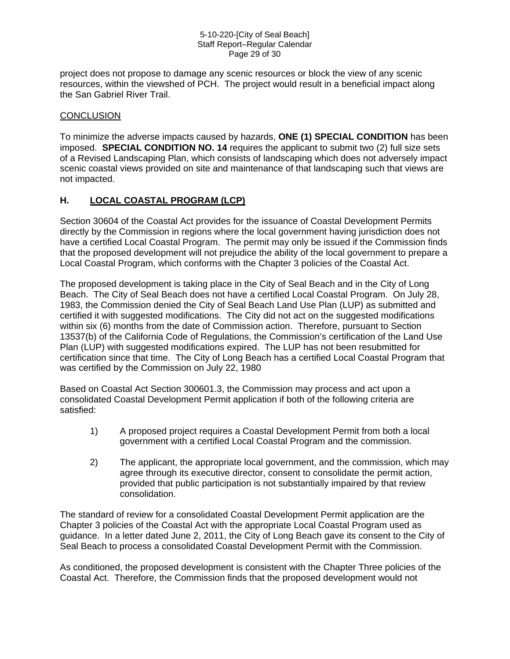#### 5-10-220-[City of Seal Beach] Staff Report–Regular Calendar Page 29 of 30

project does not propose to damage any scenic resources or block the view of any scenic resources, within the viewshed of PCH. The project would result in a beneficial impact along the San Gabriel River Trail.

#### **CONCLUSION**

To minimize the adverse impacts caused by hazards, **ONE (1) SPECIAL CONDITION** has been imposed. **SPECIAL CONDITION NO. 14** requires the applicant to submit two (2) full size sets of a Revised Landscaping Plan, which consists of landscaping which does not adversely impact scenic coastal views provided on site and maintenance of that landscaping such that views are not impacted.

#### **H. LOCAL COASTAL PROGRAM (LCP)**

Section 30604 of the Coastal Act provides for the issuance of Coastal Development Permits directly by the Commission in regions where the local government having jurisdiction does not have a certified Local Coastal Program. The permit may only be issued if the Commission finds that the proposed development will not prejudice the ability of the local government to prepare a Local Coastal Program, which conforms with the Chapter 3 policies of the Coastal Act.

The proposed development is taking place in the City of Seal Beach and in the City of Long Beach. The City of Seal Beach does not have a certified Local Coastal Program. On July 28, 1983, the Commission denied the City of Seal Beach Land Use Plan (LUP) as submitted and certified it with suggested modifications. The City did not act on the suggested modifications within six (6) months from the date of Commission action. Therefore, pursuant to Section 13537(b) of the California Code of Regulations, the Commission's certification of the Land Use Plan (LUP) with suggested modifications expired. The LUP has not been resubmitted for certification since that time. The City of Long Beach has a certified Local Coastal Program that was certified by the Commission on July 22, 1980

Based on Coastal Act Section 300601.3, the Commission may process and act upon a consolidated Coastal Development Permit application if both of the following criteria are satisfied:

- 1) A proposed project requires a Coastal Development Permit from both a local government with a certified Local Coastal Program and the commission.
- 2) The applicant, the appropriate local government, and the commission, which may agree through its executive director, consent to consolidate the permit action, provided that public participation is not substantially impaired by that review consolidation.

The standard of review for a consolidated Coastal Development Permit application are the Chapter 3 policies of the Coastal Act with the appropriate Local Coastal Program used as guidance. In a letter dated June 2, 2011, the City of Long Beach gave its consent to the City of Seal Beach to process a consolidated Coastal Development Permit with the Commission.

As conditioned, the proposed development is consistent with the Chapter Three policies of the Coastal Act. Therefore, the Commission finds that the proposed development would not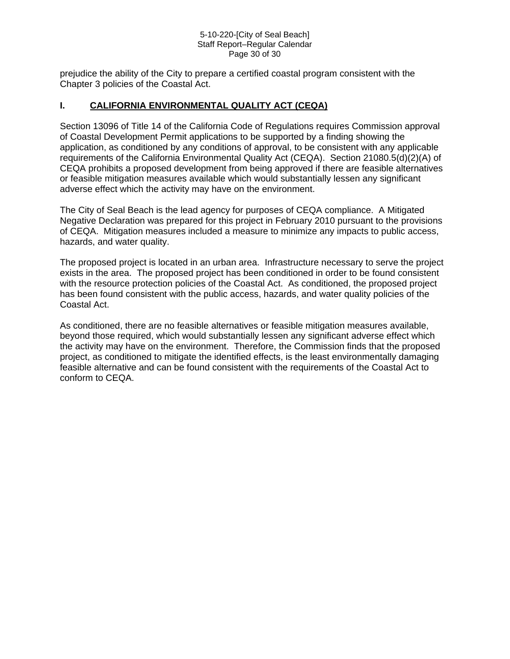#### 5-10-220-[City of Seal Beach] Staff Report–Regular Calendar Page 30 of 30

prejudice the ability of the City to prepare a certified coastal program consistent with the Chapter 3 policies of the Coastal Act.

#### **I. CALIFORNIA ENVIRONMENTAL QUALITY ACT (CEQA)**

Section 13096 of Title 14 of the California Code of Regulations requires Commission approval of Coastal Development Permit applications to be supported by a finding showing the application, as conditioned by any conditions of approval, to be consistent with any applicable requirements of the California Environmental Quality Act (CEQA). Section 21080.5(d)(2)(A) of CEQA prohibits a proposed development from being approved if there are feasible alternatives or feasible mitigation measures available which would substantially lessen any significant adverse effect which the activity may have on the environment.

The City of Seal Beach is the lead agency for purposes of CEQA compliance. A Mitigated Negative Declaration was prepared for this project in February 2010 pursuant to the provisions of CEQA. Mitigation measures included a measure to minimize any impacts to public access, hazards, and water quality.

The proposed project is located in an urban area. Infrastructure necessary to serve the project exists in the area. The proposed project has been conditioned in order to be found consistent with the resource protection policies of the Coastal Act. As conditioned, the proposed project has been found consistent with the public access, hazards, and water quality policies of the Coastal Act.

As conditioned, there are no feasible alternatives or feasible mitigation measures available, beyond those required, which would substantially lessen any significant adverse effect which the activity may have on the environment. Therefore, the Commission finds that the proposed project, as conditioned to mitigate the identified effects, is the least environmentally damaging feasible alternative and can be found consistent with the requirements of the Coastal Act to conform to CEQA.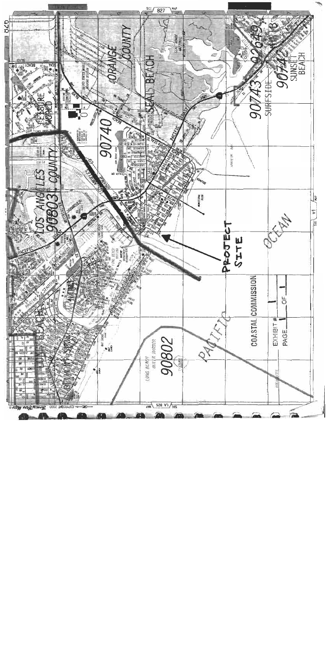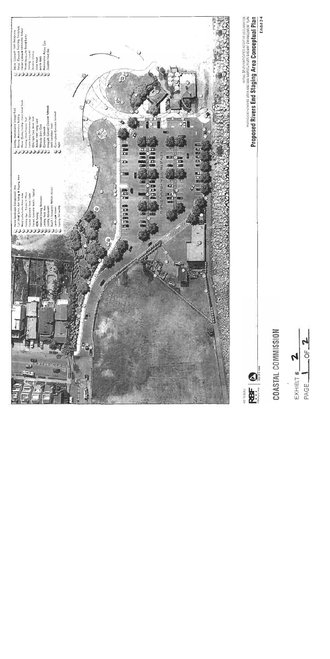

 $\mathcal{L}$ Ĉ EXHIBIT # PAGE.

COASTAL COMMISSION

連

Proposed Rivers End Staging Area Conceptual Plan

NATH JRANANCHING ANNO 2014 GEAR GABERT WAS DROWN SIMPLIFED FOR THE TRING

Exhibit 2-4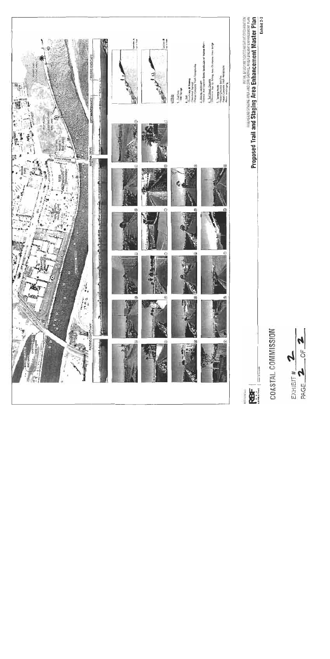



# COASTAL COMMISSION

**Proposed Trail and Staping Area Enhancement Master Proposed Plan** 

**ROT-10 SEAU** 

也

Exhibit 2-3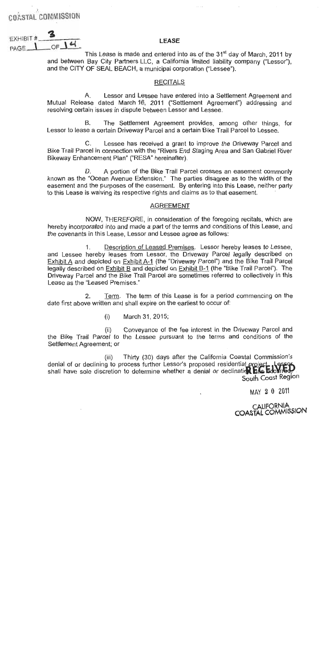COASTAL COMMISSION

**FXHIBIT#** 

2

OF  $14$ 

#### **LEASE**

This Lease is made and entered into as of the 31<sup>st</sup> day of March, 2011 by and between Bay City Partners LLC, a California limited liability company ("Lessor"). and the CITY OF SEAL BEACH, a municipal corporation ("Lessee").

#### **RECITALS**

Lessor and Lessee have entered into a Settlement Agreement and А. Mutual Release dated March 16, 2011 ("Settlement Agreement") addressing and resolving certain issues in dispute between Lessor and Lessee.

The Settlement Agreement provides, among other things, for B. Lessor to lease a certain Driveway Parcel and a certain Bike Trail Parcel to Lessee.

 $C_{-}$ Lessee has received a grant to improve the Driveway Parcel and Bike Trail Parcel in connection with the "Rivers End Staging Area and San Gabriel River Bikeway Enhancement Plan" ("RESA" hereinafter).

A portion of the Bike Trail Parcel crosses an easement commonly D. known as the "Ocean Avenue Extension." The parties disagree as to the width of the easement and the purposes of the easement. By entering into this Lease, neither party to this Lease is waiving its respective rights and claims as to that easement.

#### **AGREEMENT**

NOW, THEREFORE, in consideration of the foregoing recitals, which are hereby incorporated into and made a part of the terms and conditions of this Lease, and the covenants in this Lease, Lessor and Lessee agree as follows:

Description of Leased Premises. Lessor hereby leases to Lessee.  $1<sub>1</sub>$ and Lessee hereby leases from Lessor, the Driveway Parcel legally described on Exhibit A and depicted on Exhibit A-1 (the "Driveway Parcel") and the Bike Trail Parcel legally described on Exhibit B and depicted on Exhibit B-1 (the "Bike Trail Parcel"). The Driveway Parcel and the Bike Trail Parcel are sometimes referred to collectively in this Lease as the "Leased Premises."

 $2.$ Term. The term of this Lease is for a period commencing on the date first above written and shall expire on the earliest to occur of:

> $(i)$ March 31, 2015;

Conveyance of the fee interest in the Driveway Parcel and  $(i)$ the Bike Trail Parcel to the Lessee pursuant to the terms and conditions of the Settlement Agreement; or

Thirty (30) days after the California Coastal Commission's  $(iii)$ denial of or declining to process further Lessor's proposed residential project shall have sole discretion to determine whether a denial or declination has blowned? South Coast Region

MAY 2 0 2011

CALIFORNIA<br>COASTAL COMMISSION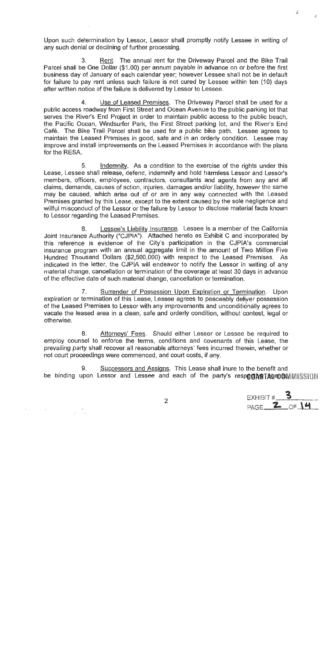Upon such determination by Lessor, Lessor shall promptly notify Lessee in writing of any such denial or declining of further processing.

Rent. The annual rent for the Driveway Parcel and the Bike Trail 3. Parcel shall be One Dollar (\$1.00) per annum payable in advance on or before the first business day of January of each calendar year; however Lessee shall not be in default for failure to pay rent unless such failure is not cured by Lessee within ten (10) days after written notice of the failure is delivered by Lessor to Lessee.

Use of Leased Premises. The Driveway Parcel shall be used for a  $4.$ public access roadway from First Street and Ocean Avenue to the public parking lot that serves the River's End Project in order to maintain public access to the public beach, the Pacific Ocean, Windsurfer Park, the First Street parking lot, and the River's End Café. The Bike Trail Parcel shall be used for a public bike path. Lessee agrees to maintain the Leased Premises in good, safe and in an orderly condition. Lessee may improve and install improvements on the Leased Premises in accordance with the plans for the RESA.

 $5<sub>1</sub>$ Indemnity. As a condition to the exercise of the rights under this Lease, Lessee shall release, defend, indemnify and hold harmless Lessor and Lessor's members, officers, employees, contractors, consultants and agents from any and all claims, demands, causes of action, injuries, damages and/or liability, however the same may be caused, which arise out of or are in any way connected with the Leased Premises granted by this Lease, except to the extent caused by the sole negligence and willful misconduct of the Lessor or the failure by Lessor to disclose material facts known to Lessor regarding the Leased Premises.

Lessee's Liability Insurance. Lessee is a member of the California 6. Joint Insurance Authority ("CJPIA"). Attached hereto as Exhibit C and incorporated by this reference is evidence of the City's participation in the CJPIA's commercial insurance program with an annual aggregate limit in the amount of Two Million Five Hundred Thousand Dollars (\$2,500,000) with respect to the Leased Premises. As indicated in the letter, the CJPIA will endeavor to notify the Lessor in writing of any material change, cancellation or termination of the coverage at least 30 days in advance of the effective date of such material change, cancellation or termination.

Surrender of Possession Upon Expiration or Termination. Upon  $7.$ expiration or termination of this Lease, Lessee agrees to peaceably deliver possession of the Leased Premises to Lessor with any improvements and unconditionally agrees to vacate the leased area in a clean, safe and orderly condition, without contest, legal or otherwise.

Attorneys' Fees. Should either Lessor or Lessee be required to 8. employ counsel to enforce the terms, conditions and covenants of this Lease, the prevailing party shall recover all reasonable attorneys' fees incurred therein, whether or not court proceedings were commenced, and court costs, if any.

Successors and Assigns. This Lease shall inure to the benefit and 9. be binding upon Lessor and Lessee and each of the party's respective TAgeoCMMISSION

EXHIBIT  $#$ . PAGE  $2$  of 14

Å,

 $\mathcal{C}$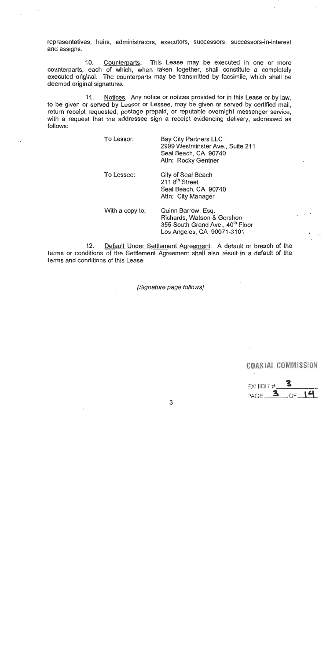representatives, heirs, administrators, executors, successors, successors-in-interest and assigns.

 $10.$ Counterparts. This Lease may be executed in one or more counterparts, each of which, when taken together, shall constitute a completely executed original. The counterparts may be transmitted by facsimile, which shall be deemed original signatures.

 $11.$ Notices. Any notice or notices provided for in this Lease or by law. to be given or served by Lessor or Lessee, may be given or served by certified mail. return receipt requested, postage prepaid, or reputable overnight messenger service, with a request that the addressee sign a receipt evidencing delivery, addressed as follows:

| To Lessor:      | <b>Bay City Partners LLC</b><br>2999 Westminster Ave., Suite 211<br>Seal Beach, CA 90740<br>Attn: Rocky Gentner                |
|-----------------|--------------------------------------------------------------------------------------------------------------------------------|
| To Lessee:      | City of Seal Beach<br>211 8 <sup>th</sup> Street<br>Seal Beach, CA 90740<br>Attn: City Manager                                 |
| With a copy to: | Quinn Barrow, Esg.<br>Richards, Watson & Gershon<br>355 South Grand Ave., 40 <sup>th</sup> Floor<br>Los Angeles, CA 90071-3101 |

Default Under Settlement Agreement. A default or breach of the  $12.$ terms or conditions of the Settlement Agreement shall also result in a default of the terms and conditions of this Lease

[Signature page follows]

EXHIBIT # 3  $\circ$  14  $PAGE$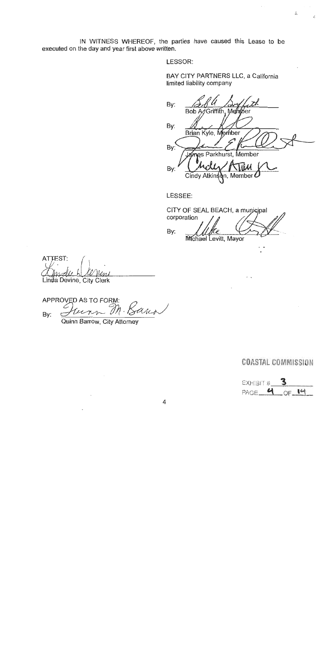IN WITNESS WHEREOF, the parties have caused this Lease to be executed on the day and year first above written.

LESSOR:

BAY CITY PARTNERS LLC, a California limited liability company

By: **Bob A** Griffith, Me íρr By: Brian Kyle, Member By: arkhurst, Member 9Ś Tíř By: n, Member

 $\Lambda$ 

LESSEE:

CITY OF SEAL BEACH, a municipal corporation By: Michael Levitt, Mayor

ATTEST:

Linda Devine, City Clerk

**APPROVED AS TO FORM:** ana un Bv:

Quinn Barrow, City Attorney

EXHIBIT # OF 14 PAGE<sub>4</sub>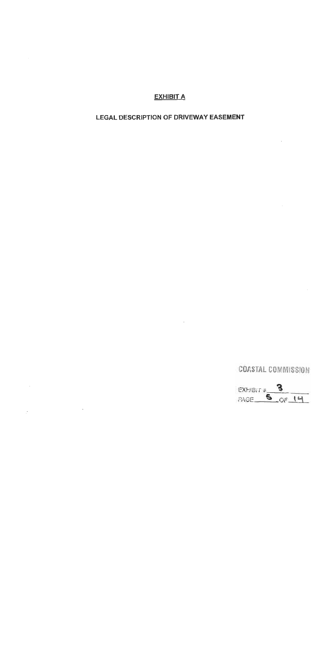#### **EXHIBIT A**

# **LEGAL DESCRIPTION OF DRIVEWAY EASEMENT**

EXHIBIT # 3<br>PAGE 5 OF 14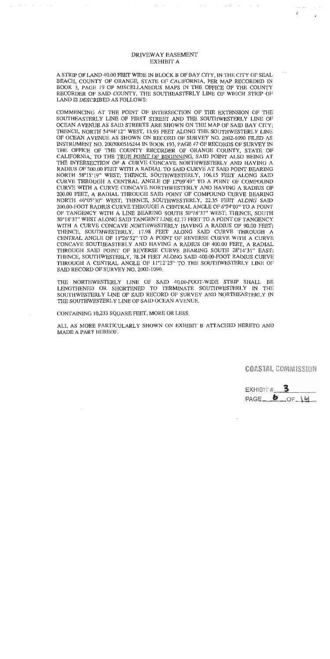#### DRIVEWAY EASEMENT **EXHIBIT A**

 $\sim$   $\sim$ 

 $\sim 100$  km s  $^{-1}$ 

 $\ddot{\cdot}$ 

 $\mathcal{A}$  and  $\mathcal{A}$  and  $\mathcal{A}$  are  $\mathcal{A}$  . Then

A STRIP OF LAND 40.00 FEET WIDE IN BLOCK B OF BAY CITY, IN THE CITY OF SEAL BEACH, COUNTY OF ORANGE, STATE OF CALIFORNIA, PER MAP RECORDED IN BOOK 3, PAGE 19 OF MISCELLANEOUS MAPS IN THE OFFICE OF THE COUNTY RECORDER OF SAID COUNTY, THE SOUTHEASTERLY LINE OF WHICH STRIP OF LAND IS DESCRIBED AS FOLLOWS:

COMMENCING AT THE POINT OF INTERSECTION OF THE EXTENSION OF THE SOUTHEASTERLY LINE OF FIRST STREET AND THE SOUTHWESTERLY LINE OF OCEAN AVENUE AS SAID STREETS ARE SHOWN ON THE MAP OF SAID BAY CITY: THENCE, NORTH 54°44'12" WEST, 13.95 FEET ALONG THE SOUTHWESTERLY LINE OF OCEAN AVENUE AS SHOWN ON RECORD OF SURVEY NO. 2002-1090 FILED AS INSTRUMENT NO. 2003000516244 IN BOOK 193, PAGE 47 OF RECORDS OF SURVEY IN THE OFFICE OF THE COUNTY RECORDER OF ORANGE COUNTY, STATE OF CALIFORNIA, TO THE TRUE POINT OF BEGINNING, SAID POINT ALSO BEING AT THE INTERSECTION OF A CURVE CONCAVE NORTHWESTERLY AND HAVING A RADIUS OF 500.00 FEET WITH A RADIAL TO SAID CURVE AT SAID POINT BEARING NORTH 58°15'19" WEST; THENCE, SOUTHWESTERLY, 106.15 FEET ALONG SAID CURVE THROUGH A CENTRAL ANGLE OF 12°09'49" TO A POINT OF COMPOUND CURVE WITH A CURVE CONCAVE NORTHWESTERLY AND HAVING A RADIUS OF 200.00 FEET, A RADIAL THROUGH SAID POINT OF COMPOUND CURVE BEARING NORTH 46°05'30" WEST; THENCE, SOUTHWESTERLY, 22.35 FEET ALONG SAID 200,00-FOOT RADIUS CURVE THROUGH A CENTRAL ANGLE OF 6°24'07" TO A POINT OF TANGENCY WITH A LINE BEARING SOUTH 50°18'37" WEST; THENCE, SOUTH 50°18'37" WEST ALONG SAID TANGENT LINE 42.77 FEET TO A POINT OF TANGENCY WITH A CURVE CONCAVE NORTHWESTERLY HAVING A RADIUS OF 90.00 FEET; THENCE, SOUTHWESTERLY, 17.98 FEET ALONG SAID CURVE THROUGH A CENTRAL ANGLE OF 11°26'52" TO A POINT OF REVERSE CURVE WITH A CURVE CONCAVE SOUTHEASTERLY AND HAVING A RADIUS OF 400.00 FEET, A RADIAL THROUGH SAID POINT OF REVERSE CURVE BEARING SOUTH 28°14'31" EAST; THENCE, SOUTHWESTERLY, 78.24 FEET ALONG SAID 400.00-FOOT RADIUS CURVE THROUGH A CENTRAL ANGLE OF 11°12'25" TO THE SOUTHWESTERLY LINE OF SAID RECORD OF SURVEY NO. 2002-1090.

THE NORTHWESTERLY LINE OF SAID 40,00-FOOT-WIDE STRIP SHALL BE LENGTHENED OR SHORTENED TO TERMINATE SOUTHWESTERLY IN THE SOUTHWESTERLY LINE OF SAID RECORD OF SURVEY AND NORTHEASTERLY IN THE SOUTHWESTERLY LINE OF SAID OCEAN AVENUE.

CONTAINING 10,233 SQUARE FEET, MORE OR LESS.

ALL AS MORE PARTICULARLY SHOWN ON EXHIBIT B ATTACHED HERETO AND MADE A PART HEREOF.

EXHIBIT# PAGE  $6 - 0F$  14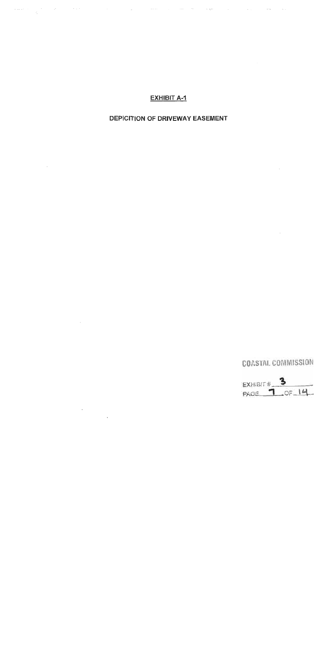#### EXHIBIT A-1

and the state of the state of the state of the state of the state of the state of the state of the state of th<br>The state of the state of the state of the state of the state of the state of the state of the state of the st

#### DEPICITION OF DRIVEWAY EASEMENT

 $\mathcal{L}^{\text{max}}_{\text{max}}$  and  $\mathcal{L}^{\text{max}}_{\text{max}}$ 

 $\mathcal{L}^{\text{max}}_{\text{max}}$  and  $\mathcal{L}^{\text{max}}_{\text{max}}$ 

 $\label{eq:2.1} \frac{d\mathbf{r}}{d\mathbf{r}} = \frac{1}{2\pi}\sum_{i=1}^N \frac{d\mathbf{r}}{d\mathbf{r}} \, .$ 

# COASTAL COMMISSION

 $\mathcal{L}^{\text{max}}_{\text{max}}$  and  $\mathcal{L}^{\text{max}}_{\text{max}}$ 

 $\sim 10^{-11}$ 

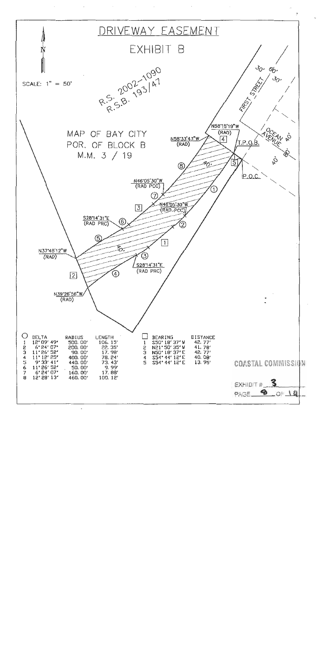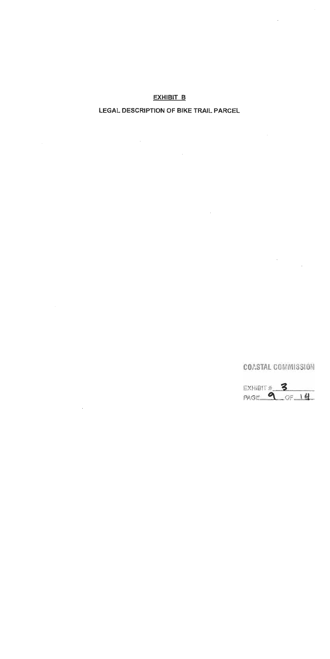#### **EXHIBIT B**

#### LEGAL DESCRIPTION OF BIKE TRAIL PARCEL

 $\mathbb{R}^2$ 

 $\sim$   $\sim$ 

# COASTAL COMMISSION

 $\tilde{\mathcal{E}}$ 

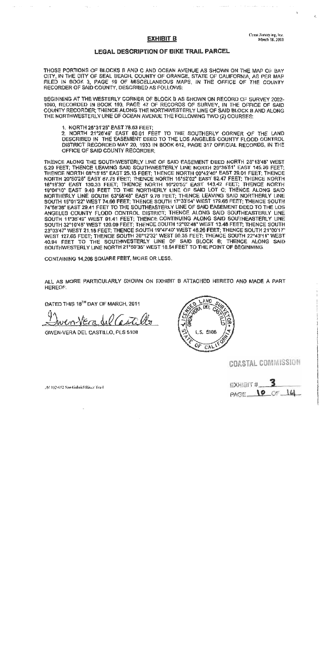#### **EXHIBIT B**

August 20

 $\sim$   $\sim$   $\sim$   $\sim$   $\sim$   $\sim$   $\sim$ 

Coast Surveying, Inc. Мась 18, 2011  $\mathcal{L}$ 

#### **LEGAL DESCRIPTION OF BIKE TRAIL PARCEL**

THOSE PORTIONS OF BLOCKS B AND C AND OCEAN AVENUE AS SHOWN ON THE MAP OF BAY CITY. IN THE CITY OF SEAL BEACH, COUNTY OF ORANGE, STATE OF CALIFORNIA, AS PER MAP FILED IN BOOK 3, PAGE 19 OF MISCELLANEOUS MAPS, IN THE OFFICE OF THE COUNTY RECORDER OF SAID COUNTY, DESCRIBED AS FOLLOWS:

BEGINNING AT THE WESTERLY CORNER OF BLOCK B AS SHOWN ON RECORD OF SURVEY 2002-1080, RECORDED IN BOOK 193, PAGE 47 OF RECORDS OF SURVEY, IN THE OFFICE OF SAID COUNTY RECORDER: THENGE ALONG THE NORTHWESTERLY LINE OF SAID BLOCK B AND ALONG THE NORTHWESTERLY LINE OF OCEAN AVENUE THE FOLLOWING TWO (2) COURSES:

1. NORTH 25"31'25" EAST 78.63 FEET;

 $\sim$   $\sim$ 

 $\ddot{\phantom{a}}$ 

2. NORTH 21°26'48" EAST 80.01 FEET TO THE SOUTHERLY CORNER OF THE LAND DESCRIBED IN THE EASEMENT DEED TO THE LOS ANGELES COUNTY FLOOD CONTROL DISTRICT RECORDED MAY 20, 1933 IN BOOK 612, PAGE 317 OFFICIAL RECORDS, IN THE OFFICE OF SAID COUNTY RECORDER:

THENCE ALONG THE SOUTHWESTERLY LINE OF SAID FASEMENT DEED NORTH 28°13'48" WEST 5,29 FEET; THENCE LEAVING SAID SOUTHWESTERLY LINE NORTH 20°35'51' EAST 145.28 FEET; THENCE NORTH 08°19'15" EAST 25.13 FEET; THENCE NORTH 00°42'40' EAST 29.01 FEET; THENCE NORTH 20°50'28" EAST 87.75 FEET; THENCE NORTH 16°52'02" EAST 82.47 FEET; THENCE NORTH 18°18'30' EAST 130.33 FEET; THENCE NORTH 16°20'55" EAST 143.42 FEET; THENCE NORTH 19°04'10" EAST 9.40 FEET TO THE NORTHERLY LINE OF SAID LOT C; THENCE ALONG SAID NORTHERLY LINE SOUTH 63°58'48" EAST 9.78 FEET; THENCE LEAVING SAID NORTHERLY LINE<br>SOUTH 15°01'22' WEST 74.66 FEET; THENCE SOUTH 17'33'54' WEST 179.66 FEET; THENCE SOUTH 74'58'38" EAST 29.41 FEET TO THE SOUTHEASTERLY LINE OF SAID EASEMENT DEED TO THE LOS ANGELES COUNTY FLODD CONTROL DISTRICT; THENCE ALONG SAID SOUTHEASTERLY LINE SOUTH 11°38'49" WEST 91.41 FEET; THENCE CONTINUING ALONG SAID SOUTHEASTERLY LINE SOUTH 32°10'48" WEST 126.09 FEET; THENCE SOUTH 12°02'48" WEST 13.48 FEET; THENCE SOUTH 23°03'47" WEST 21,18 FEET; THENCE SOUTH 19°47'40" WEST 46.26 FEET; THENCE SOUTH 21°00'17" WEST 127.66 FEET; THENCE SOUTH 20°12'32' WEST 90.35 FEET; THENCE SOUTH 22°43'11" WEST 40.94 FEET TO THE SOUTHWESTERLY LINE OF SAID BLOCK B; THENCE ALONG SAID SOUTHWESTERLY LINE NORTH 21°50'35' WEST 18.54 FEET TO THE POINT OF BEGINNING.

CONTAINING 14,206 SQUARE FEET, MORE OR LESS.

ALL AS MORE PARTICULARLY SHOWN ON EXHIBIT B ATTACHED HERETO AND MADE A PART HEREOF.

DATED THIS 18TH DAY OF MARCH, 2011

GWEN-VERA DEL CASTILLO, PLS 5108



COASTAL COMMISSION

EXHIBIT #\_\_\_ PAGE 10 OF 14

JS! 192-032 Seo Galiciel River Yras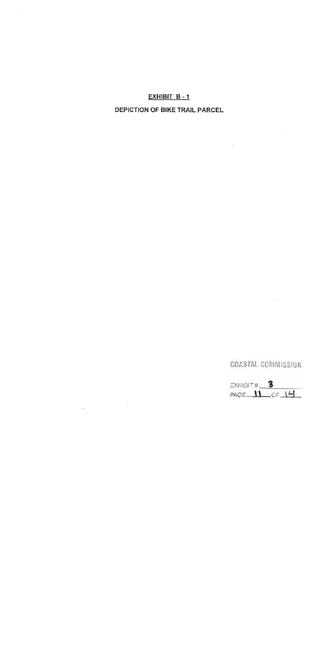#### EXHIBIT B-1

## **DEPICTION OF BIKE TRAIL PARCEL**

 $\sim 10$ 

i.

 $\bar{z}$ 

EXHIBIT # 3<br>PAGE 11 OF 14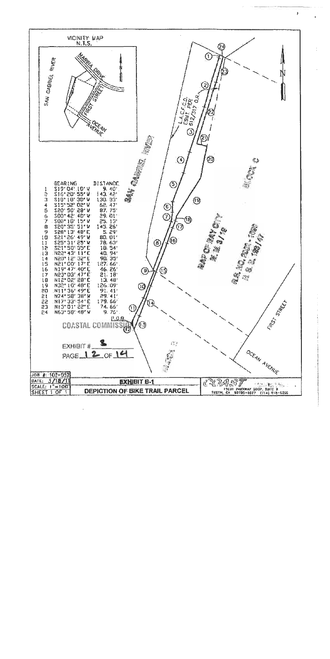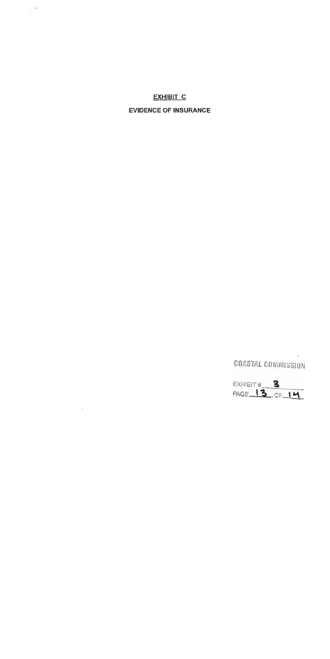# **EXHIBIT C**

 $\sim 10^{-10}$ 

 $\frac{1}{\sqrt{2}}$ 

 $\mathcal{L}^{\mathcal{L}}$  and  $\mathcal{L}^{\mathcal{L}}$ 

 $\sim$ 

#### **EVIDENCE OF INSURANCE**

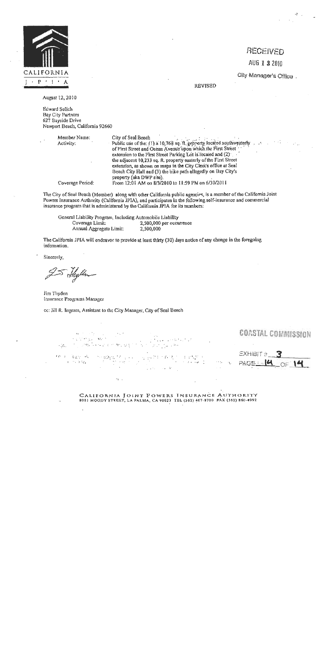

# RECEIVED AUG 1 3 2010

City Manager's Office.

**REVISED** 

August 12, 2010

**Edward Selich Bay City Partners** 627 Bayside Drive Newport Beach, California 92660

> Member Name: City of Seal Beach Public use of the: (1) a 10,768 sq. ft. property located southwesterly Activity: of First Street and Ocean Avenue upon which the First Street extension to the First Street Parking Lot is located and (2) the adjacent 10,233 sq. ft. property easterly of the First Street extension, as shown on maps in the City Clerk's office at Seal Beach City Hall and (3) the bike path allogedly on Bay City's property (aka DWP site). From 12:01 AM on 8/3/2010 to 11:59 PM on 6/30/2011

Coverage Period:

The City of Seal Beach (Member) along with other California public agencies, is a member of the California Joint Powers Insurance Authority (California JPIA), and participates in the following solf-insurance and commercial insurance program that is administered by the California JPIA for its members:

General Liability Program, Including Automobile Liability Coverago Limit: 2,500,000 per occurrence Annual Aggregate Limit: 2,500,000

The California JPIA will endeavor to provide at least thirty (30) days notice of any change in the foregoing information.

Sincerely,

Shythe

Jim Thyden Insurance Programs Manager

cc: Jill R. Ingram, Assistant to the City Manager, City of Seal Beach

COASTAL COMMISSION s a dres gun  $\Delta E_{\rm{eff}}$   $\sim$ to and the proof  $\sim 100$  $EXHIBIT \#$  : Only Reported **SAMILY BOX 2000 BOW PORT CONTRACTOR**  $-14$  of 14  $\epsilon_1$ 

CALIFORNIA JOINT POWERS INSURANCE AUTHORITY 8081 MOODY STREET, LA PALMA, CA 90623 TEL (562) 467-8700 FAX (562) 860-4992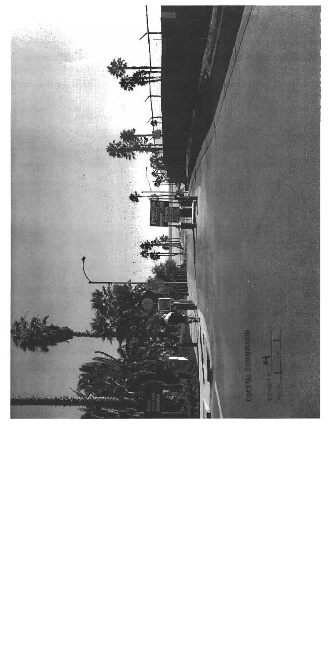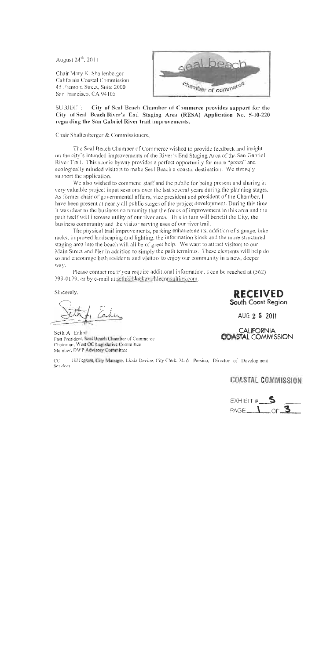August 24<sup>th</sup>, 2011

Chair Mary K. Shallenberger California Coastal Commission 45 Fremont Street, Suite 2000 San Francisco, CA 94105



City of Seal Beach Chamber of Commerce provides support for the **SUBJECT:** City of Seal Beach River's End Staging Area (RESA) Application No. 5-10-220 regarding the San Gabriel River trail improvements.

Chair Shallenberger & Commissioners,

The Seal Beach Chamber of Commerce wished to provide feedback and insight on the city's intended improvements of the River's End Staging Area of the San Gabriel River Trail. This seenic byway provides a perfect opportunity for more "green" and ecologically minded visitors to make Seal Beach a coastal destination. We strongly support the application.

We also wished to commend staff and the public for being present and sharing in very valuable project input sessions over the last several years during the planning stages. As former chair of governmental affairs, vice president and president of the Chamber, I have been present at nearly all public stages of the project development. During this time it was clear to the business community that the focus of improvement in this area and the path itself will increase utility of our river area. This in turn will benefit the City, the business community and the visitor serving uses of our river trail.

The physical trail improvements, parking enhancements, addition of signage, bike racks, improved landscaping and lighting, the information kiosk and the more structured staging area into the beach will all be of great help. We want to attract visitors to our Main Street and Pier in addition to simply the path terminus. These elements will help do so and encourage both residents and visitors to enjoy our community in a new, deeper way.

Please contact me if you require additional information. I can be reached at (562) 799-0179, or by e-mail at seth@blackmarbleconsulting.com.

Sincerely,

Seth A. Eaker Past President, Seal Beach Chamber of Commerce Chairman, West OC Legislative Committee Member, DWP Advisory Committee

Jill Ingram, City Manager, Linda Devine, City Clerk, Mark Persico, Director of Development  $CC:$ Services

# **COASTAL COMMISSION**



**RECEIVED** South Coast Region

AUG 2 5 2011

**CALIFORNIA**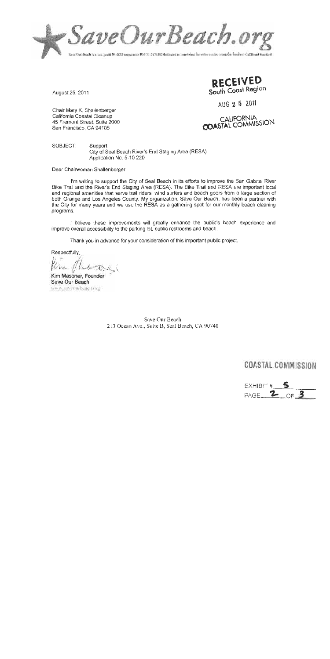

August 25, 2011

Chair Mary K. Shallenberger California Coastal Cleanup 45 Fremont Street, Suite 2000 San Francisco, CA 94105

RECEIVED South Coast Region

AUG 2 5 2011

CALIFORNIA<br>COASTAL COMMISSION

SUBJECT: Support City of Seal Beach River's End Staging Area (RESA) Application No. 5-10-220

Dear Chairwoman Shallenberger,

I'm writing to support the City of Seal Beach in its efforts to improve the San Gabriel River Bike Trail and the River's End Staging Area (RESA). The Bike Trail and RESA are important local and regional amenities that serve trail riders, wind surfers and beach goers from a large section of both Orange and Los Angeles County. My organization, Save Our Beach, has been a partner with the City for many years and we use the RESA as a gathering spot for our monthly beach cleaning programs.

I believe these improvements will greatly enhance the public's beach experience and improve overall accessibility to the parking lot, public restrooms and beach.

Thank you in advance for your consideration of this important public project.

Respectfully,

Kim Masoner, Founder Save Our Beach www.saycoupbancly.org

Save Our Beach 213 Ocean Ave., Suite B, Seal Beach, CA 90740

EXHIBIT # PAGE 2